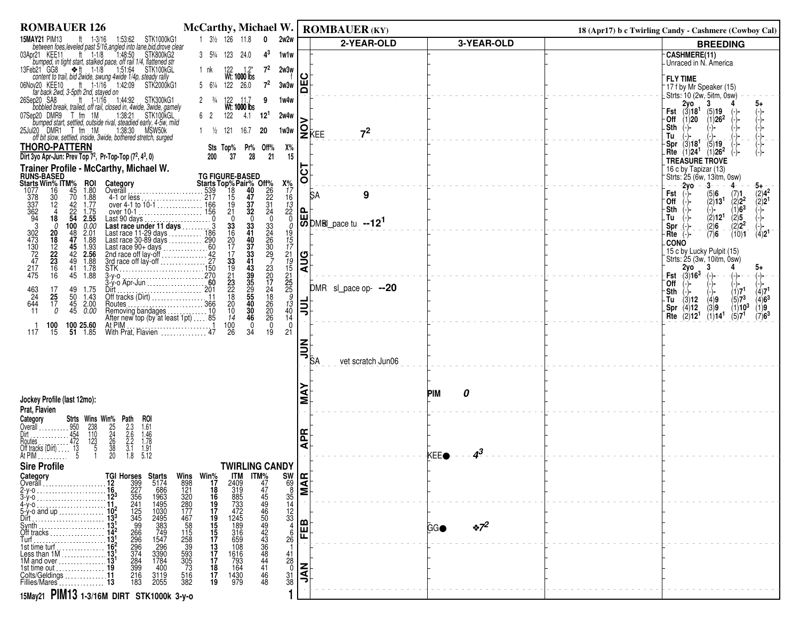| <b>ROMBAUER 126</b>                                                                                                                                                                                                                                                                                                                                                  | <b>McCarthy, Michael W.</b>                                                                              | <b>ROMBAUER (KY)</b>                                                                                     |                                         | 18 (Apr17) b c Twirling Candy - Cashmere (Cowboy Cal)                                                                           |
|----------------------------------------------------------------------------------------------------------------------------------------------------------------------------------------------------------------------------------------------------------------------------------------------------------------------------------------------------------------------|----------------------------------------------------------------------------------------------------------|----------------------------------------------------------------------------------------------------------|-----------------------------------------|---------------------------------------------------------------------------------------------------------------------------------|
| <b>15MAY21 PIM13</b><br>ft 1-3/16<br>1:53:62 STK1000kG1<br>between foes, leveled past 5/16, angled into lane, bid, drove clear                                                                                                                                                                                                                                       | 1 31/2 126 11.8<br>$\mathbf 0$<br>2w2w                                                                   | 2-YEAR-OLD                                                                                               | 3-YEAR-OLD                              | <b>BREEDING</b>                                                                                                                 |
| ft $1-1/8$<br>1:48:50<br>03Apr21 KEE11<br>STK800kG2<br>bumped, in tight start, stalked pace, off rail 1/4, flattened str                                                                                                                                                                                                                                             | $4^3$<br>3 53/4 123 24.0<br>1w1w                                                                         |                                                                                                          |                                         | <b>CASHMERE(11)</b><br>-Unraced in N. America                                                                                   |
| 13Feb21 GG8 → ft 1-1/8<br>b21 GG8 $\underset{\text{content to trail, bid 2wide, swung 4wide 1/4p, steady rally}}{\underbrace{\text{#t}}$                                                                                                                                                                                                                             | $7^2$<br>2w3w<br>1 nk                                                                                    | ပ                                                                                                        |                                         |                                                                                                                                 |
| 06Nov20 KEE10 ft 1-1/16 1:42:09<br>STK2000kG1                                                                                                                                                                                                                                                                                                                        | $7^2$<br>5 61/4 122 26.0<br>3w3w                                                                         | 片                                                                                                        |                                         | <b>FLY TIME</b><br><sup>-</sup> 17 f by Mr Speaker (15)                                                                         |
| far back 2wd, 3-5pth 2nd, stayed on<br>ft 1-1/16 1:44:92 STK300kG1<br>26Sep20 SA8                                                                                                                                                                                                                                                                                    | $2 \frac{3}{4}$<br>9<br>1w4w                                                                             |                                                                                                          |                                         | Strts: 10 (2w, 5itm, 0sw)<br>2y0<br>3                                                                                           |
| bobbled break, trailed, off rail, closed in, 4wide, 3wide, gamely<br>1:38:21 STK100KGL<br>07Sep20 DMR9 T fm 1M                                                                                                                                                                                                                                                       | 122<br>4.1<br>$12^{1}$<br>6 2<br>2w4w                                                                    |                                                                                                          |                                         | <b>Fst</b> $(3)18^1$ $(5)19$                                                                                                    |
| bumped start, settled, outside rival, steadied early, 4-5w, mild                                                                                                                                                                                                                                                                                                     |                                                                                                          |                                                                                                          |                                         | (1)20<br>$(1)26^2$<br>−Off<br>-Sth                                                                                              |
| 25Jul20 DMR1 T fm 1M 1:38:30 MSW50k<br>off bit slow, settled, inside, 3wide, bothered stretch, surged                                                                                                                                                                                                                                                                | $1 \frac{1}{2}$ 121<br>16.7<br>20<br>1w3w                                                                | <b>PE</b> KEE<br>7 <sup>2</sup>                                                                          |                                         | Tu                                                                                                                              |
| <b>THORO-PATTERN</b><br>Dirt 3yo Apr-Jun: Prev Top 7 <sup>2</sup> , Pr-Top-Top (7 <sup>2</sup> , 4 <sup>3</sup> , 0)                                                                                                                                                                                                                                                 | Sts Top% Pr% Off%<br>Х%<br>28<br>37<br>21<br>15<br>200                                                   |                                                                                                          |                                         | $-Spr(3)18$<br>(5)19<br>$Rte$ (1)24 <sup>1</sup><br>$(1)26^2$                                                                   |
| Trainer Profile - McCarthy, Michael W.                                                                                                                                                                                                                                                                                                                               |                                                                                                          |                                                                                                          |                                         | TREASURE TROVE<br>16 c by Tapizar (13)                                                                                          |
| <b>RUNS-BASED</b><br><b>ROI</b>                                                                                                                                                                                                                                                                                                                                      |                                                                                                          | 5<br>$\circ$                                                                                             |                                         | Strts: 25 (6w, 13itm, 0sw)                                                                                                      |
| <b>Starts Win% ITM%</b><br>1077 16 45<br>378 30 70<br>1.80<br>1.88                                                                                                                                                                                                                                                                                                   | $x_{77}^{\prime\prime}$<br>$x_{77}^{\prime\prime}$<br>$x_{78}^{\prime\prime}$<br>$x_{78}^{\prime\prime}$ | <b>SA</b><br>9                                                                                           |                                         | $-2yo$<br>-3-<br>-4<br>Fst<br>(5)6<br>(7)1                                                                                      |
| 12<br>1.77                                                                                                                                                                                                                                                                                                                                                           | $\frac{26}{22}$<br>$\frac{31}{24}$<br>$\frac{37}{32}$<br>$^{19}_{21}$                                    | 0.                                                                                                       |                                         | $(2)4^2$<br>$(2)2^1$<br>(2)13 <sup>1</sup><br>$\binom{2}{2} 2^2$<br>(1)6 <sup>3</sup><br>⊺Off<br>(-)-<br>-Sth                   |
| $\frac{42}{22}$<br>54<br>1.75<br>2.55<br>18                                                                                                                                                                                                                                                                                                                          | $\mathbf{0}$<br>$^{\circ}$ 0<br>$\mathbf{0}$<br>$\mathbf{0}$                                             | DDM8Lpace tu --12 <sup>1</sup>                                                                           |                                         | $\langle 2 \rangle$ 5<br>(2)12 <sup>1</sup><br>-Tu                                                                              |
| 378<br>337<br>362<br>304<br>302<br>47<br>302<br>47<br>47<br>over 10-1<br>Last 90 days<br>Last race under 11 days<br>Last race under 11 days<br>Last race 11-29 days<br>Last race 30-80 days<br>Last race 30-9 days<br>Last race 30-9 days<br>Last race of lay-off<br>200<br>2nd race of lay-off<br>3-y-0<br>3-y-0<br><br>0.00<br>$\frac{100}{48}$<br>0<br>2.01<br>20 | $\frac{33}{41}$<br>$\frac{33}{24}$<br>$\frac{33}{16}$<br>$\frac{20}{17}$<br>$\Omega$<br>19               |                                                                                                          |                                         | $(2)2^2$<br>Spr<br>$\frac{(2)6}{(7)6}$<br>$(4)2^1$<br>(10)1<br>Rte                                                              |
| 47<br>18<br>1.88<br>45                                                                                                                                                                                                                                                                                                                                               | 26<br>40                                                                                                 |                                                                                                          |                                         | <b>CONO</b>                                                                                                                     |
| $\frac{12}{22}$<br>23<br>$\frac{1.93}{2.56}$<br>42<br>49<br>1.88                                                                                                                                                                                                                                                                                                     | $\frac{37}{33}$<br>$\frac{30}{29}$<br>33                                                                 | <b>AUG</b>                                                                                               |                                         | 15 c by Lucky Pulpit (15)<br>Strts: 25 (3w, 10itm, 0sw)                                                                         |
| $\frac{217}{475}$<br>$\frac{16}{16}$<br>1.78<br>$^{41}_{45}$<br>1.88                                                                                                                                                                                                                                                                                                 | 15<br>12<br>19<br>15<br>25<br>25<br>3<br>13<br>19<br>23<br>20                                            |                                                                                                          |                                         | 2y0<br>3<br>5+<br>Fst $-(3)16^3$<br>-(-)-<br>-(-)-                                                                              |
| 17<br>1.75                                                                                                                                                                                                                                                                                                                                                           | 43<br>39<br>35<br>29<br>55<br>55<br>40<br>21<br>23<br>22<br>18<br>20<br>17                               | DMR sl_pace op- --20                                                                                     |                                         | `0ff<br>(1)7 <sup>1</sup><br>(4)7 <sup>1</sup>                                                                                  |
| 49<br>50<br>463<br>24<br>25<br>1.43<br>Off tracks (Dirt)<br>Routes<br>644<br>45 2.00<br>17                                                                                                                                                                                                                                                                           | $^{24}_{18}$<br>26                                                                                       |                                                                                                          |                                         | -Sth<br>$(4)6^3$<br>$(5)7^{3}$<br>(4)9<br>(3)12<br>- Tu                                                                         |
| 45<br>0.00<br>11<br>0                                                                                                                                                                                                                                                                                                                                                | $\frac{20}{26}$<br>$\frac{10}{14}$<br>$\frac{30}{46}$<br>$^{40}_{14}$                                    | 릐                                                                                                        |                                         | (4)12<br>(3)9<br>$(1)10^3$<br>(1)9.<br>.Spr<br>$(7)6^3$<br>(2)12 <sup>1</sup><br>(5)7 <sup>1</sup><br>Rte<br>(1)14 <sup>1</sup> |
| 100 25.60<br>100                                                                                                                                                                                                                                                                                                                                                     | $\overline{0}$<br>100<br>$\Omega$<br>$\Omega$                                                            |                                                                                                          |                                         |                                                                                                                                 |
| $51 \quad 1.85$<br>15<br>117                                                                                                                                                                                                                                                                                                                                         | 26<br>34<br>19<br>21                                                                                     |                                                                                                          |                                         |                                                                                                                                 |
|                                                                                                                                                                                                                                                                                                                                                                      |                                                                                                          | $\begin{matrix} \underline{\mathbf{z}} \\ \underline{\mathbf{y}} \\ \underline{\mathbf{s}} \end{matrix}$ |                                         |                                                                                                                                 |
|                                                                                                                                                                                                                                                                                                                                                                      |                                                                                                          | vet scratch Jun06                                                                                        |                                         |                                                                                                                                 |
|                                                                                                                                                                                                                                                                                                                                                                      |                                                                                                          |                                                                                                          |                                         |                                                                                                                                 |
|                                                                                                                                                                                                                                                                                                                                                                      |                                                                                                          |                                                                                                          | <b>PIM</b><br>0                         |                                                                                                                                 |
| Jockey Profile (last 12mo):<br>Prat, Flavien                                                                                                                                                                                                                                                                                                                         |                                                                                                          |                                                                                                          |                                         |                                                                                                                                 |
| roi<br>Category                                                                                                                                                                                                                                                                                                                                                      |                                                                                                          |                                                                                                          |                                         |                                                                                                                                 |
| <b>Strts Wins Win% Path</b><br>950 238 25 2.3<br>454 110 24 2.6<br><b>Calendary 1986</b><br>Overall 1996<br>Dirt<br>Routes 472<br>Off tracks (Dirt) 1998<br>At PIM<br>25<br>24<br>38<br>20<br>20<br>$2.3$<br>$2.6$<br>$2.6$<br>$3.1$<br>$1.8$<br>1.61                                                                                                                |                                                                                                          | 운                                                                                                        |                                         |                                                                                                                                 |
| $\frac{1.46}{1.78}$<br>1.78<br>$\begin{array}{c}\n123 \\ 5\n\end{array}$                                                                                                                                                                                                                                                                                             |                                                                                                          | ₹                                                                                                        |                                         |                                                                                                                                 |
| 5.12                                                                                                                                                                                                                                                                                                                                                                 | <b>TWIRLING CANDY</b>                                                                                    |                                                                                                          | 43<br><b>KEEO</b>                       |                                                                                                                                 |
| <b>Sire Profile</b><br>Category                                                                                                                                                                                                                                                                                                                                      |                                                                                                          |                                                                                                          |                                         |                                                                                                                                 |
| Overall                                                                                                                                                                                                                                                                                                                                                              |                                                                                                          | $\frac{98}{35}$<br>$\frac{35}{14}$ MAR                                                                   |                                         |                                                                                                                                 |
|                                                                                                                                                                                                                                                                                                                                                                      |                                                                                                          |                                                                                                          |                                         |                                                                                                                                 |
| Dirt                                                                                                                                                                                                                                                                                                                                                                 | $\frac{12}{33}$                                                                                          |                                                                                                          |                                         |                                                                                                                                 |
| Synth $\frac{131}{\text{Qft} \text{ tracks}}$ 13 <sup>1</sup>                                                                                                                                                                                                                                                                                                        | 6                                                                                                        | മ<br>ш                                                                                                   | $\cdot \frac{7^2}{2}$<br>GG <sup></sup> |                                                                                                                                 |
| Turf<br>$15^1$<br>$15^1$<br>$16^2$                                                                                                                                                                                                                                                                                                                                   | 26                                                                                                       | 正                                                                                                        |                                         |                                                                                                                                 |
| Less than 1M  13!                                                                                                                                                                                                                                                                                                                                                    |                                                                                                          |                                                                                                          |                                         |                                                                                                                                 |
| TGI Horses Starts<br>12 399 5174<br>16227 686<br>1123 556 1968<br>111241 1495<br>11241 1495<br>1133 9296 749<br>13412 2066 749<br>13412 2066 749<br>1342 2066 749<br>1342 383<br>1343 329<br>1343 329<br>1344 3390<br>284 1784<br>139<br>284 1784<br>119<br>119<br>2<br>1M and over $\ldots$ $\ldots$ $\ldots$ $\ldots$<br>1st time out                              | $\frac{41}{28}$<br>$\frac{31}{38}$                                                                       | NAS<br>C                                                                                                 |                                         |                                                                                                                                 |
| $\frac{216}{183}$<br>3119<br>2055                                                                                                                                                                                                                                                                                                                                    | 1430<br>979<br>46<br>48                                                                                  |                                                                                                          |                                         |                                                                                                                                 |
| 15May21 PIM13 1-3/16M DIRT STK1000k 3-y-0                                                                                                                                                                                                                                                                                                                            |                                                                                                          |                                                                                                          |                                         |                                                                                                                                 |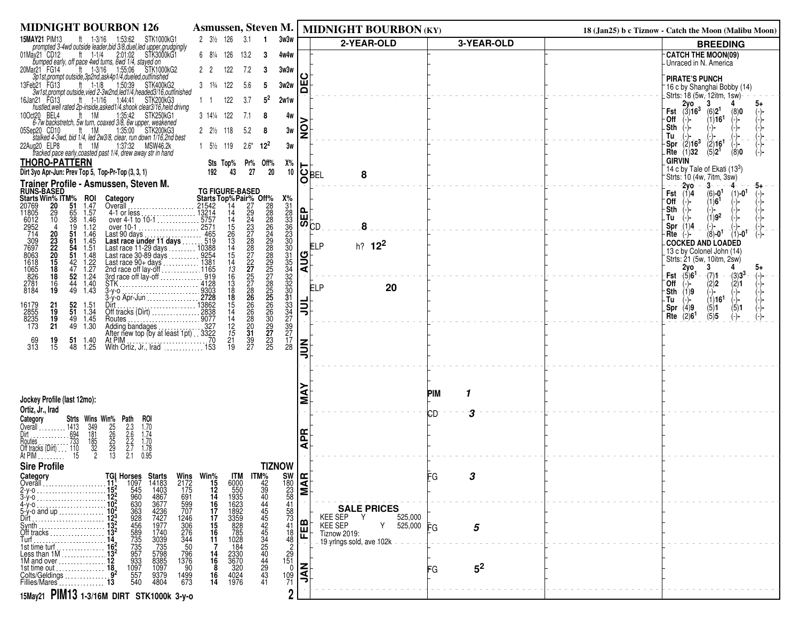| <b>MIDNIGHT BOURBON 126</b>                                                                                                                                                                                                                                                                                                                                                                                                                    |                                                                                                                                                                                                                                                                                                                                                                     |                                                                                    | Asmussen, Steven M.   MIDNIGHT BOURBON (KY)                          |                | 18 (Jan25) b c Tiznow - Catch the Moon (Malibu Moon)                             |
|------------------------------------------------------------------------------------------------------------------------------------------------------------------------------------------------------------------------------------------------------------------------------------------------------------------------------------------------------------------------------------------------------------------------------------------------|---------------------------------------------------------------------------------------------------------------------------------------------------------------------------------------------------------------------------------------------------------------------------------------------------------------------------------------------------------------------|------------------------------------------------------------------------------------|----------------------------------------------------------------------|----------------|----------------------------------------------------------------------------------|
| <b>15MAY21 PIM13</b><br>ft 1-3/16 1:53:62 STK1000kG1<br>prompted 3-4wd outside leader, bid 3/8, duel, led upper, grudgingly                                                                                                                                                                                                                                                                                                                    | $2 \frac{3}{2} \frac{126}{3.1}$ 1<br>3w3w                                                                                                                                                                                                                                                                                                                           |                                                                                    | 2-YEAR-OLD                                                           | 3-YEAR-OLD     | <b>BREEDING</b>                                                                  |
| bumped early, off pace 4wd turns, 6wd 1/4, stayed on<br>bumped early, off pace 4wd turns, 6wd 1/4, stayed on<br>ar21 FG14 ft 1-3/16 1:55:06 STK1000kG2<br>3p1st,prompt outside,3p2nd,ask4p1/4,dueled,outfinished<br>01May21 CD12                                                                                                                                                                                                               | 6 81/4 126<br>13.2<br>-3<br>4w4w                                                                                                                                                                                                                                                                                                                                    |                                                                                    |                                                                      |                | <b>CATCH THE MOON(09)</b><br>Unraced in N. America                               |
| 20Mar21 FG14                                                                                                                                                                                                                                                                                                                                                                                                                                   | 122<br>7.2<br>22<br>3<br>3w3w                                                                                                                                                                                                                                                                                                                                       |                                                                                    |                                                                      |                |                                                                                  |
| 1:50:39 STK400kG2<br>$ft$ 1-1/8<br>13Feb21 FG13                                                                                                                                                                                                                                                                                                                                                                                                | 122<br>5.6<br>3w2w<br>$3 \t1\frac{3}{4}$<br>-5                                                                                                                                                                                                                                                                                                                      | ш<br>Δ                                                                             |                                                                      |                | <b>PIRATE'S PUNCH</b><br><sup>-</sup> 16 c by Shanghai Bobby (14)                |
| 3w1st, prompt outside, vied 2-3w2nd, led1/4, headed3/16, outfinished<br>16Jan21 FG13<br>$ft = 1 - 1/16$<br>1:44:41 STK200kG3                                                                                                                                                                                                                                                                                                                   | $5^2$<br>122<br>3.7<br>2w1w<br>$1 \quad 1$                                                                                                                                                                                                                                                                                                                          |                                                                                    |                                                                      |                | Strts: 18 (5w, 12itm, 1sw)<br>$2y0$ .<br>3                                       |
| hustled, well rated 2p-inside, asked 1/4, shook clear 3/16, held drivng<br>ft 1M<br>1:35:42 STK250kG1<br>10Oct20 BEL4                                                                                                                                                                                                                                                                                                                          | 3 141/4 122<br>7.1<br>4w<br>-8                                                                                                                                                                                                                                                                                                                                      |                                                                                    |                                                                      |                | Fst $(3)16^3$<br>(6)2 <sup>1</sup><br>(8)0                                       |
| 6-7w backstretch, 5w turn, coaxed 3/8, 6w upper, weakened<br>$ft = 1M$<br>1:35:00 STK200kG3<br>05Sep20 CD10                                                                                                                                                                                                                                                                                                                                    | $2 \frac{2}{2}$ 118<br>5.2<br>3w<br>-8                                                                                                                                                                                                                                                                                                                              | g                                                                                  |                                                                      |                | (1)16 <sup>1</sup><br>∙Off<br>$(-)$<br>-Sth                                      |
| stalked 4-3wd, bid 1/4, led 2w3/8, clear, run down 1/16,2nd best<br>ft 1M<br>1:37:32 MSW46.2k<br>22Aug20 ELP8                                                                                                                                                                                                                                                                                                                                  | $1\quad 5\frac{1}{2}$ 119<br>$2.6*$<br>$12^{2}$<br>3w                                                                                                                                                                                                                                                                                                               |                                                                                    |                                                                      |                | Tu<br>$-$ Spr $(2)16^3$                                                          |
| tracked pace early, coasted past 1/4, drew away str in hand                                                                                                                                                                                                                                                                                                                                                                                    |                                                                                                                                                                                                                                                                                                                                                                     |                                                                                    |                                                                      |                | $\frac{(2)}{(5)}$ 16 <sup>1</sup><br>Rte $(1)$ 32<br>(8)0<br><b>GIRVIN</b>       |
| <b>THORO-PATTERN</b><br>Dirt 3yo Apr-Jun: Prev Top 5, Top-Pr-Top (3, 3, 1)                                                                                                                                                                                                                                                                                                                                                                     | Sts Top% Pr% Off%<br>Х%<br>$20\,$<br>10<br>27<br>192<br>43                                                                                                                                                                                                                                                                                                          | ା $\overline{\mathbf{Q}}_\mathsf{BEL}$                                             | 8                                                                    |                | 14 c by Tale of Ekati (133)                                                      |
| Trainer Profile - Asmussen, Steven M.                                                                                                                                                                                                                                                                                                                                                                                                          |                                                                                                                                                                                                                                                                                                                                                                     |                                                                                    |                                                                      |                | Strts: 10 (4w, 7itm, 3sw)<br>$-2yo$<br>-3-                                       |
| <b>RUNS-BASED</b><br>Starts Win% ITM%<br>20769 20 51<br><b>ROI</b><br>Category                                                                                                                                                                                                                                                                                                                                                                 | $\frac{X\%}{31}$                                                                                                                                                                                                                                                                                                                                                    |                                                                                    |                                                                      |                | $(6) - 0^1$<br>Fst $(i)4$<br>$(1)$ -0 <sup>1</sup><br>(1)6 <sup>1</sup><br>`Off  |
| 1.47<br>20769<br>11805<br>Overall<br>65<br>1.57<br>29                                                                                                                                                                                                                                                                                                                                                                                          |                                                                                                                                                                                                                                                                                                                                                                     |                                                                                    |                                                                      |                | Sth                                                                              |
| 10<br>$\overline{38}$<br>6012<br>1.46<br>2952<br>714<br>19<br>1.12<br>4                                                                                                                                                                                                                                                                                                                                                                        |                                                                                                                                                                                                                                                                                                                                                                     | $\begin{bmatrix} 0 \ \text{B} \ \text{C} \end{bmatrix}$                            | 8                                                                    |                | $(1)9^2$<br>. Tu<br>Spr $(1)4$                                                   |
| 20<br>51<br>1.46<br>171<br>Last 90 days<br><b>Last race under 11 days</b><br>Last race 11-29 days<br>Last race 30-89 days<br>Last race 90-9 days<br>Last race 90-4 days<br>2nd race of lay-off<br>2nd race of lay-off<br>3rd<br>2nd race of lay-off<br>3rd<br>2nd race of lay-o<br>$^{23}_{22}$<br>$\frac{61}{54}$<br>1.45                                                                                                                     | 28333838                                                                                                                                                                                                                                                                                                                                                            |                                                                                    |                                                                      |                | $(8) - 0^1$<br>$(1) - 0$ <sup>1</sup><br>Rte<br><b>COCKED AND LOADED</b>         |
| 1.51<br>20<br>51<br>1.48                                                                                                                                                                                                                                                                                                                                                                                                                       |                                                                                                                                                                                                                                                                                                                                                                     |                                                                                    | h? 12 <sup>2</sup><br>ELP                                            |                | 13 c by Colonel John (14)                                                        |
| $7697$<br>$7697$<br>$8063$<br>$1618$<br>$1065$<br>$826$<br>$3764$<br>$\frac{1.22}{1.27}$<br>$\frac{15}{18}$<br>$\frac{42}{47}$                                                                                                                                                                                                                                                                                                                 |                                                                                                                                                                                                                                                                                                                                                                     | <u>AUG</u>                                                                         |                                                                      |                | Strts: 21 (5w, 10itm, 2sw)<br>3<br>2y0<br>5+                                     |
| 52<br>$1.\overline{2}4$<br>18<br>2781<br>8184<br>44                                                                                                                                                                                                                                                                                                                                                                                            |                                                                                                                                                                                                                                                                                                                                                                     |                                                                                    |                                                                      |                | Fst $(5)6^1$<br>$-(7)1$<br>$-(3)3^3$<br>-(-)−<br>(2)2<br>(2)1<br>`Off<br>$(-)$ - |
| $\frac{16}{19}$<br>$\frac{1.40}{1.43}$<br>STK<br>3-y-o<br>3-y-o<br>3-y-o<br>3-y-o<br>2838<br>2838<br>Dift<br>City (Dirt)<br>2838<br>2838<br>2838<br>49                                                                                                                                                                                                                                                                                         |                                                                                                                                                                                                                                                                                                                                                                     |                                                                                    | 20<br>ELP                                                            |                | ⊤Sth (1)9<br>(−)−<br>(-)-<br>(-)-<br>(1)16 <sup>1</sup><br>$(-)$<br>۰Tu          |
| $\frac{52}{51}$<br>16179<br>2855<br>8235<br>21<br>19<br>1.51<br>1.34                                                                                                                                                                                                                                                                                                                                                                           |                                                                                                                                                                                                                                                                                                                                                                     | l⋽∣                                                                                |                                                                      |                | Spr(4)9<br>$\binom{5}{5}$ 1<br>(5)5<br>$\binom{5}{-}$                            |
| 19<br>1.45<br>49<br>Routes.<br>173<br>21<br>49 1.30                                                                                                                                                                                                                                                                                                                                                                                            |                                                                                                                                                                                                                                                                                                                                                                     |                                                                                    |                                                                      |                | Rte $(2)6^1$                                                                     |
| Adding bandages<br>After new top (by at least 1pt) . 3322<br>51 1.40<br>At PIM $\ldots$<br>69                                                                                                                                                                                                                                                                                                                                                  | <b>TG FIGURE-BASED</b><br>Starts Top% Pair% Off%<br>21542 14 27 28<br>21542 14 27 28<br>21542 14 29 28<br>13214 14 29 28<br>13214 14 22 22<br>25711 15<br>25711 15<br>22 22 22 22<br>14165 13 27<br>1165 13 27<br>1165 13 27<br>1165 13 27<br>1165 25<br>12 28<br>1<br>2822222222222252566232222222222222235<br>3333333347977<br>$\frac{21}{19}$<br>$\frac{39}{27}$ |                                                                                    |                                                                      |                |                                                                                  |
| 19<br>15<br>313<br>48<br>1.25<br>With Ortiz, Jr., Irad  153                                                                                                                                                                                                                                                                                                                                                                                    | 28                                                                                                                                                                                                                                                                                                                                                                  | $\vert \Xi$                                                                        |                                                                      |                |                                                                                  |
|                                                                                                                                                                                                                                                                                                                                                                                                                                                |                                                                                                                                                                                                                                                                                                                                                                     |                                                                                    |                                                                      |                |                                                                                  |
|                                                                                                                                                                                                                                                                                                                                                                                                                                                |                                                                                                                                                                                                                                                                                                                                                                     |                                                                                    |                                                                      |                |                                                                                  |
| Jockey Profile (last 12mo):                                                                                                                                                                                                                                                                                                                                                                                                                    |                                                                                                                                                                                                                                                                                                                                                                     |                                                                                    |                                                                      | PIM            |                                                                                  |
| Ortiz, Jr., Irad                                                                                                                                                                                                                                                                                                                                                                                                                               |                                                                                                                                                                                                                                                                                                                                                                     |                                                                                    |                                                                      | СD             |                                                                                  |
| Category<br>Strts Wins Win% Path<br>roi<br>1413<br>Overall                                                                                                                                                                                                                                                                                                                                                                                     |                                                                                                                                                                                                                                                                                                                                                                     |                                                                                    |                                                                      |                |                                                                                  |
| $\frac{349}{181}$<br>$\frac{185}{32}$<br>$\frac{25}{26}$<br>$\frac{25}{29}$<br>$\frac{25}{13}$<br>$2.3$<br>$2.6$<br>$2.7$<br>$2.7$<br>$2.1$<br>1.70<br>1.74<br>1.70<br>1.78<br>0.95<br>Dirt<br>Dirt<br>Routes<br>Routes<br>Off tracks (Dirt)<br>110<br>At PIM                                                                                                                                                                                  |                                                                                                                                                                                                                                                                                                                                                                     | $\overline{\mathbf{a}}$                                                            |                                                                      |                |                                                                                  |
|                                                                                                                                                                                                                                                                                                                                                                                                                                                |                                                                                                                                                                                                                                                                                                                                                                     | ⋖                                                                                  |                                                                      |                |                                                                                  |
| <b>Sire Profile</b>                                                                                                                                                                                                                                                                                                                                                                                                                            | <b>TIZNOW</b>                                                                                                                                                                                                                                                                                                                                                       |                                                                                    |                                                                      |                |                                                                                  |
| Wins<br>$2172$                                                                                                                                                                                                                                                                                                                                                                                                                                 |                                                                                                                                                                                                                                                                                                                                                                     |                                                                                    |                                                                      | FG             |                                                                                  |
| <b>Starts</b><br>14183<br>1403<br>4867<br>3677<br>$\frac{175}{691}$                                                                                                                                                                                                                                                                                                                                                                            | Win%<br>15<br>12<br>14                                                                                                                                                                                                                                                                                                                                              | $\begin{array}{c} 50 \ \hline 180 \ \hline 23 \ \hline 58 \ \hline 41 \end{array}$ |                                                                      |                |                                                                                  |
|                                                                                                                                                                                                                                                                                                                                                                                                                                                |                                                                                                                                                                                                                                                                                                                                                                     |                                                                                    | <b>SALE PRICES</b>                                                   |                |                                                                                  |
|                                                                                                                                                                                                                                                                                                                                                                                                                                                | 58<br>73<br>41                                                                                                                                                                                                                                                                                                                                                      |                                                                                    | <b>KEE SEP</b><br>525,000<br>Y<br>$Y = 525,000$ FG<br><b>KEE SEP</b> |                |                                                                                  |
| Category<br>Category<br>Cyclarian 11, 1097<br>2-y-0<br>3-y-0<br>4-y-0<br>4-y-0<br>5-y-0 and up<br>5-y-0 and up<br>5-y-0 and up<br>5-y-0 and up<br>5-y-0 and up<br>5-y-0 and up<br>5-y-0 and up<br>5-y-0 and up<br>5-y-0 and up<br>5-y-0 and up<br>5-y-0 and 12<br><br>599<br>707<br>1246<br>306<br>276<br>344<br>344<br>50<br>363<br>928<br>4589<br>5735<br>7357<br>933<br>4236<br>7427<br>1977<br>1740<br>3039<br>735<br>5798<br>8385<br>1097 | TM<br>6000<br>550<br>5303<br>1623<br>3359<br>828<br>785<br>1028<br>$\frac{16}{17}$<br>$\frac{17}{16}$<br>$\frac{16}{11}$<br>$\frac{18}{48}$                                                                                                                                                                                                                         | 屉                                                                                  | <b>Tiznow 2019:</b>                                                  | 5              |                                                                                  |
| Turf<br>14<br>15 time turf<br>16<br>18<br>18 time turn in the U.S. of the U.S. of the U.S. of the U.S. of the U.S. of the U.S. of the U.S. of the U.S. of the U.S. of the U.S. of the U.S. of the U.S. of the U.S. of the U.S. of the U.S. of                                                                                                                                                                                                  | 184<br>14                                                                                                                                                                                                                                                                                                                                                           |                                                                                    | 19-yrlngs-sold, ave 102k                                             |                |                                                                                  |
| 796<br>1376<br>1097<br>90                                                                                                                                                                                                                                                                                                                                                                                                                      | $\begin{array}{c} 2\bar{9} \\ 151 \\ 0 \end{array}$<br>2330<br>3670<br>320<br>16<br>8                                                                                                                                                                                                                                                                               |                                                                                    |                                                                      | 5 <sup>2</sup> |                                                                                  |
| $\frac{557}{540}$<br>9379<br>4804<br>1499<br>673                                                                                                                                                                                                                                                                                                                                                                                               | 4024<br>1976<br>109<br>71<br>16<br>14                                                                                                                                                                                                                                                                                                                               | ξ                                                                                  |                                                                      | FG             |                                                                                  |
| 15May21 PIM13 1-3/16M DIRT STK1000k 3-y-0                                                                                                                                                                                                                                                                                                                                                                                                      | 2                                                                                                                                                                                                                                                                                                                                                                   |                                                                                    |                                                                      |                |                                                                                  |
|                                                                                                                                                                                                                                                                                                                                                                                                                                                |                                                                                                                                                                                                                                                                                                                                                                     |                                                                                    |                                                                      |                |                                                                                  |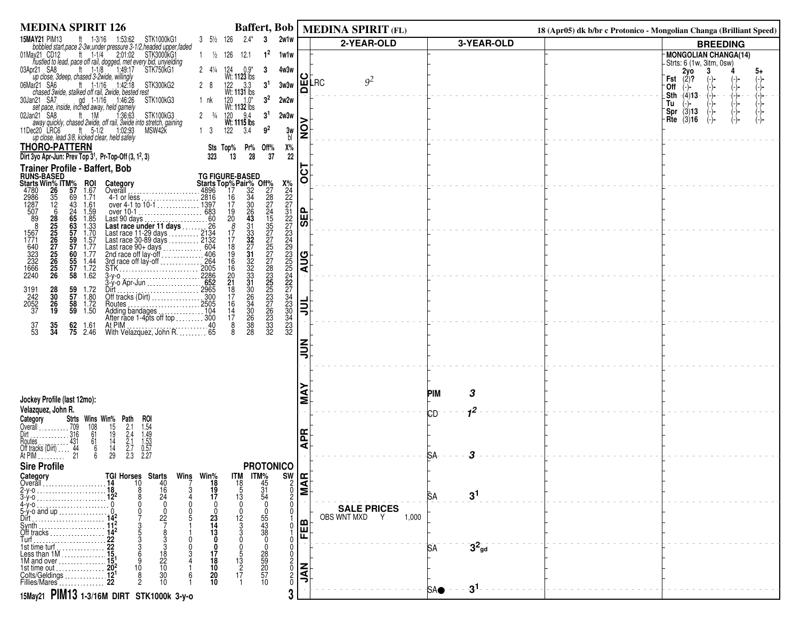| <b>MEDINA SPIRIT 126</b>                                                                                                                                                                                                                                                                                                                            | Baffert, Bob                                                                                                                                                                                                                                                 |                                                                                                 | <b>MEDINA SPIRIT (FL)</b>                    |                           | 18 (Apr05) dk b/br c Protonico - Mongolian Changa (Brilliant Speed) |                                                                                           |
|-----------------------------------------------------------------------------------------------------------------------------------------------------------------------------------------------------------------------------------------------------------------------------------------------------------------------------------------------------|--------------------------------------------------------------------------------------------------------------------------------------------------------------------------------------------------------------------------------------------------------------|-------------------------------------------------------------------------------------------------|----------------------------------------------|---------------------------|---------------------------------------------------------------------|-------------------------------------------------------------------------------------------|
| <b>15MAY21 PIM13</b><br>ft 1-3/16<br>1:53:62<br>STK1000kG1<br>bobbled start, pace 2-3w, under pressure 3-1/2, headed upper, faded                                                                                                                                                                                                                   | 2w1w<br>$3 \frac{5}{2} \frac{126}{5}$<br>$2.4^*$<br>3                                                                                                                                                                                                        |                                                                                                 | 2-YEAR-OLD                                   | 3-YEAR-OLD                |                                                                     | <b>BREEDING</b>                                                                           |
| by contract the team of the team of the same of the same of the same of the same of the same of the same of the same of the same of the same of the same of the same of the same of the same of the same of the same of the sa<br>01May21 CD12<br>pr21 SA8 ft 1-1/8 1:49:17<br>up close, 3deep, chased 3-2wide, willingly<br>03Apr21 SA8            | $1^2$<br>$1 \frac{1}{2}$ 126<br>12.1<br>1w1w<br>2 4 <sup>1</sup> / <sub>4</sub> 124 0.5<br>Wt: <b>1123</b> lbs<br><sup>1</sup> 22 3.3<br>1 <sup>4</sup><br>3<br>4w3w                                                                                         | ပ                                                                                               |                                              |                           |                                                                     | MONGOLIAN CHANGA(14)<br>-Strts: 6 (1w, 3itm, 0sw)<br>$2y0$<br>(2)?<br>3<br>5+             |
| ar21 SA6 ft 1-1/16 1:42:18 ST<br>chased 3wide, stalked off rail, 2wide, bested rest<br>06Mar21 SA6<br>STK300kG2                                                                                                                                                                                                                                     | $122$ $3.3$<br>Wt: 1131 lbs<br>3 <sup>1</sup><br>3w3w                                                                                                                                                                                                        | Δ                                                                                               | 9 <sup>2</sup><br>∣шLRC                      |                           |                                                                     | Fst<br>$(-)$ -<br>(-)-<br>'0ff<br>(−)−                                                    |
| 30Jan21 SA7<br>n21 SA7 gd 1-1/16 1:46:26<br>set pace, inside, inched away, held gamely<br>STK100kG3<br>1:46:26<br>02Jan21 SA8                                                                                                                                                                                                                       | 3 <sup>2</sup><br>2w2w<br>1 nk<br>120 1.0*<br>Wt: <b>1132</b> lbs<br>9.4                                                                                                                                                                                     |                                                                                                 |                                              |                           |                                                                     | (-)<br>(-)-<br>(-)-<br>(-)-<br>(-)-<br>Sth $-(4)$ 13<br>(⊸)⊷<br>Tu<br>$Spr$ (3)13<br>(-)- |
| an21 SA8 ft 1M 1:36:63 STK100kG3<br>away quickly, chased 2wide, off rail, 3wide into stretch, gaining<br>11Dec20 LRC6<br>ec20 LRC6 ft 5-1/2 1:02:93<br>up close, lead 3/8, kicked clear, held safely<br>MSW42K                                                                                                                                      | 120<br>3 <sup>1</sup><br>2 $\frac{3}{4}$<br>2w3w<br>9 <sup>2</sup><br>1 <sub>3</sub>                                                                                                                                                                         | <u>o</u><br>3w<br>bl                                                                            |                                              |                           |                                                                     | Rte $(3)$ 16<br>(-)-                                                                      |
| <b>THORO-PATTERN</b><br>Dirt 3yo Apr-Jun: Prev Top 3 <sup>1</sup> , Pr-Top-Off (3, 1 <sup>2</sup> , 3)                                                                                                                                                                                                                                              | Sts Top%<br>Pr%<br>Off%<br>13<br>28<br>37<br>323                                                                                                                                                                                                             | Х%<br>22                                                                                        |                                              |                           |                                                                     |                                                                                           |
| <b>Trainer Profile - Baffert, Bob</b>                                                                                                                                                                                                                                                                                                               |                                                                                                                                                                                                                                                              | 50                                                                                              |                                              |                           |                                                                     |                                                                                           |
| Category<br>Overall                                                                                                                                                                                                                                                                                                                                 | <b>TG FIGURE-BASED</b>                                                                                                                                                                                                                                       |                                                                                                 |                                              |                           |                                                                     |                                                                                           |
| <b>ROI</b><br>1.67<br>1.71<br>. 4896                                                                                                                                                                                                                                                                                                                |                                                                                                                                                                                                                                                              |                                                                                                 |                                              |                           |                                                                     |                                                                                           |
| 1.61                                                                                                                                                                                                                                                                                                                                                |                                                                                                                                                                                                                                                              | $\left  \begin{smallmatrix} 0 \ \text{in} \end{smallmatrix} \right $                            |                                              |                           |                                                                     |                                                                                           |
| $1.59$<br>$1.85$<br>$1.33$<br>$1.70$<br>$1.57$                                                                                                                                                                                                                                                                                                      |                                                                                                                                                                                                                                                              | あ                                                                                               |                                              |                           |                                                                     |                                                                                           |
|                                                                                                                                                                                                                                                                                                                                                     |                                                                                                                                                                                                                                                              |                                                                                                 |                                              |                           |                                                                     |                                                                                           |
| $\frac{1.77}{1.77}$                                                                                                                                                                                                                                                                                                                                 |                                                                                                                                                                                                                                                              |                                                                                                 |                                              |                           |                                                                     |                                                                                           |
| <b>Frainer Profile -<br/>Riarls Win% TTM%<br/>4780 266 356 978<br/>2986 356 266 266 978<br/>2867 725 265 979<br/>567 225 225 987<br/>1667 225 226 955<br/>3232 226 225 226 923<br/>1666 2240 26</b><br>1.44<br>$\frac{1.72}{1.62}$                                                                                                                  |                                                                                                                                                                                                                                                              | $\frac{1}{2}$                                                                                   |                                              |                           |                                                                     |                                                                                           |
|                                                                                                                                                                                                                                                                                                                                                     |                                                                                                                                                                                                                                                              |                                                                                                 |                                              |                           |                                                                     |                                                                                           |
| Overall<br>4896<br>4-1 or less<br>over 4-1 to 10-1<br>over 10-1<br>Last race under 11 days<br>Last race 11-29 days<br>Last race 11-29 days<br>Last race 11-29 days<br>Last race 11-29 days<br>Last race 11-29 days<br>Last race 11-29 days<br>Last rac<br>59<br>57<br>58<br>59<br>1.72<br>1.80<br>3191<br>242<br>2052<br>37<br>28<br>30<br>26<br>19 |                                                                                                                                                                                                                                                              |                                                                                                 |                                              |                           |                                                                     |                                                                                           |
| 1.72<br>1.50                                                                                                                                                                                                                                                                                                                                        |                                                                                                                                                                                                                                                              | 흷                                                                                               |                                              |                           |                                                                     |                                                                                           |
| At PIM<br>With Velazquez, John R. 65<br>$\frac{37}{53}$<br>$\frac{62}{75}$<br>$\frac{35}{34}$<br>1.61                                                                                                                                                                                                                                               | TG FIGURE-BASED<br>Starts Top% Pair% Off%7<br>∴4896 17<br>2816 16 32<br>17 30 226<br>∴1397 17 30 226<br>∴1397 17 30 227<br>2966 20 43<br>2264 18 327<br>2964 18 327<br>∴2005 16 332 228<br>∴2005 16 332 228<br>∴2005 21 300 225<br>∴2286<br>∴22865 21 31<br> |                                                                                                 |                                              |                           |                                                                     |                                                                                           |
| 2.46                                                                                                                                                                                                                                                                                                                                                |                                                                                                                                                                                                                                                              |                                                                                                 |                                              |                           |                                                                     |                                                                                           |
|                                                                                                                                                                                                                                                                                                                                                     |                                                                                                                                                                                                                                                              | ミミ                                                                                              |                                              |                           |                                                                     |                                                                                           |
|                                                                                                                                                                                                                                                                                                                                                     |                                                                                                                                                                                                                                                              |                                                                                                 |                                              |                           |                                                                     |                                                                                           |
|                                                                                                                                                                                                                                                                                                                                                     |                                                                                                                                                                                                                                                              |                                                                                                 |                                              |                           |                                                                     |                                                                                           |
| Jockey Profile (last 12mo):                                                                                                                                                                                                                                                                                                                         |                                                                                                                                                                                                                                                              | ⋖<br>Σ                                                                                          |                                              | 3<br>PIM                  |                                                                     |                                                                                           |
| Velazquez, John R.                                                                                                                                                                                                                                                                                                                                  |                                                                                                                                                                                                                                                              |                                                                                                 |                                              | 1 <sup>2</sup><br>СD      |                                                                     |                                                                                           |
| <b>Strts</b><br>Category<br>$\cdots$ . 709<br>316<br>Overall                                                                                                                                                                                                                                                                                        |                                                                                                                                                                                                                                                              |                                                                                                 |                                              |                           |                                                                     |                                                                                           |
| ROI<br>1.54<br>1.49<br>1.53<br>0.57<br>0.57<br>2.27<br>Routes<br>Off tracks (Dirt)                                                                                                                                                                                                                                                                  |                                                                                                                                                                                                                                                              | <b>APR</b>                                                                                      |                                              |                           |                                                                     |                                                                                           |
| Wins Win% Path<br>$108$ $15$ $2.1$<br>$61$ $19$ $2.4$<br>$61$ $14$ $2.1$<br>$6$ $14$ $2.7$<br>$6$ $29$ $2.3$<br>$\frac{431}{44}$<br>21<br>At PIM $\ldots$                                                                                                                                                                                           |                                                                                                                                                                                                                                                              |                                                                                                 |                                              | з<br>SA.                  |                                                                     |                                                                                           |
| <b>Sire Profile</b><br>TGI Horses Starts                                                                                                                                                                                                                                                                                                            | <b>PROTONICO</b><br><b>ITM</b>                                                                                                                                                                                                                               |                                                                                                 |                                              |                           |                                                                     |                                                                                           |
| Category<br>Overall<br>10<br>40<br>16<br>24<br>14                                                                                                                                                                                                                                                                                                   | Wins Win <sup>%</sup><br>7 18<br><b>ITM%</b><br>45<br>31<br>54<br>$\begin{array}{c} 18 \\ 5 \end{array}$<br>19                                                                                                                                               | $\frac{1}{2}$<br>$\frac{1}{2}$<br>$\frac{1}{2}$<br>$\begin{array}{c}\n2 \\ 0 \\ 2\n\end{array}$ |                                              |                           |                                                                     |                                                                                           |
|                                                                                                                                                                                                                                                                                                                                                     | 17<br>13                                                                                                                                                                                                                                                     | $\mathbf{0}$                                                                                    |                                              | 3 <sup>1</sup><br>SА      |                                                                     |                                                                                           |
| 5-y-o and up<br>$2\tilde{2}$<br>Dirt.                                                                                                                                                                                                                                                                                                               | 23<br>12                                                                                                                                                                                                                                                     |                                                                                                 | <b>SALE PRICES</b><br>OBS WNT MXD Y<br>1,000 |                           |                                                                     |                                                                                           |
| Synth<br>Off tracks                                                                                                                                                                                                                                                                                                                                 | 55<br>43<br>38<br>14<br>13                                                                                                                                                                                                                                   | ≃<br>쭌                                                                                          |                                              |                           |                                                                     |                                                                                           |
| Turf<br>1st time turf                                                                                                                                                                                                                                                                                                                               | $\mathbf{0}$                                                                                                                                                                                                                                                 | 0                                                                                               |                                              | $3^2$ <sub>gd</sub><br>5A |                                                                     |                                                                                           |
| $\frac{18}{22}$<br>10<br>Less than 1M<br>. 15.<br>1M and over $\ldots$ $\ldots$ $\ldots$ $\ldots$                                                                                                                                                                                                                                                   | 17<br>13<br>18                                                                                                                                                                                                                                               |                                                                                                 |                                              |                           |                                                                     |                                                                                           |
| 10<br>1st time out<br>Colts/Geldings<br>30                                                                                                                                                                                                                                                                                                          | 28<br>59<br>57<br>57<br>10<br>17<br>20                                                                                                                                                                                                                       | $\frac{2}{0}$<br>$\mathbf{z}$                                                                   |                                              |                           |                                                                     |                                                                                           |
| 10 <sup>1</sup><br>Fillies/Mares                                                                                                                                                                                                                                                                                                                    | 10<br>10                                                                                                                                                                                                                                                     | $\frac{2}{0}$                                                                                   |                                              | $-3^1$<br><b>SAO</b>      |                                                                     |                                                                                           |
| 15May21 PIM13 1-3/16M DIRT STK1000k 3-y-0                                                                                                                                                                                                                                                                                                           |                                                                                                                                                                                                                                                              | 3                                                                                               |                                              |                           |                                                                     |                                                                                           |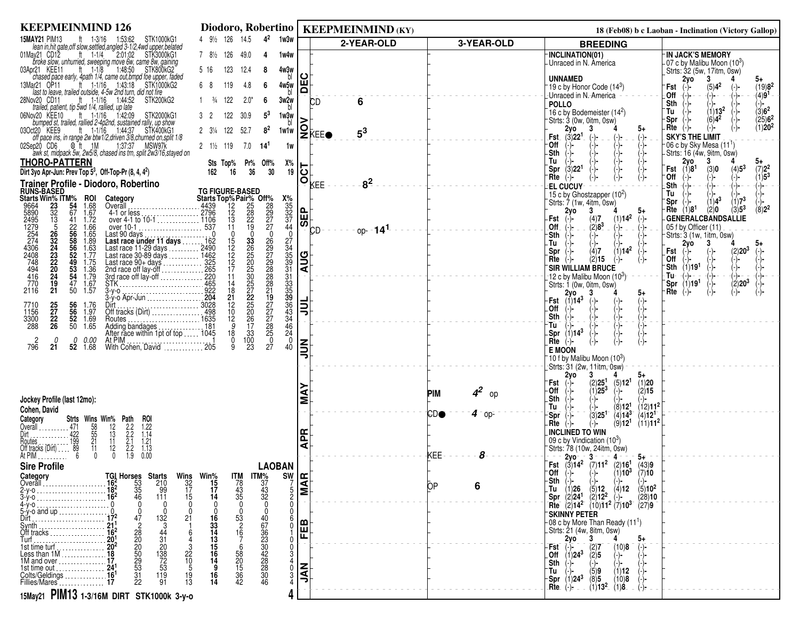| <b>KEEPMEINMIND 126</b>                                                                                                                                                                                                                             |                                                                                                                                       |                                    | Diodoro, Robertino   KEEPMEINMIND (KY)    |                  | 18 (Feb08) b c Laoban - Inclination (Victory Gallop)                                                                                                           |
|-----------------------------------------------------------------------------------------------------------------------------------------------------------------------------------------------------------------------------------------------------|---------------------------------------------------------------------------------------------------------------------------------------|------------------------------------|-------------------------------------------|------------------|----------------------------------------------------------------------------------------------------------------------------------------------------------------|
| <b>15MAY21 PIM13</b><br>ft 1-3/16 1:53:62 STK1000kG1                                                                                                                                                                                                | 4 91/2 126 14.5<br>$4^2$<br>1w3w                                                                                                      |                                    | 2-YEAR-OLD                                | 3-YEAR-OLD       | <b>BREEDING</b>                                                                                                                                                |
| lean in hit gate off slow settled angled 3-1/2,4wd upper belated<br>ay21 CD12 tt 1-1/4 2:01:02 STK3000kG1<br>01May21 CD12                                                                                                                           | 7 81/2 126<br>49.0<br>1w4w<br>4                                                                                                       |                                    |                                           |                  | <b>IN JACK'S MEMORY</b><br><b>INCLINATION(01)</b><br>-Unraced in N. America                                                                                    |
| firoke slow, unhurried, sweeping move 6w, came 8w, gaining<br>In KEE11 ft 1-1/8 1:48:50 STK800kG2<br>03Apr21 KEE11                                                                                                                                  | 123<br>5 16<br>12.4<br>4w3w<br>8                                                                                                      |                                    |                                           |                  | -07 c by Malibu Moon (10 <sup>3</sup> )<br>_Strts: 32 (5w, 17itm, 0sw)                                                                                         |
| chased pace early, 4path 1/4, came out, bmpd foe upper, faded<br>ar21 OP11 ft 1-1/16 1:43:18 STK1000kG2<br>13Mar21 OP11                                                                                                                             | bl<br>4w5w<br>68<br>119<br>4.8<br>6                                                                                                   | ш                                  |                                           |                  | <b>UNNAMED</b><br>2yo<br>3<br>$5+$<br>$(19)8^2$<br>$(5)4^2$<br><sup>-</sup> 19 c by Honor Code (14 <sup>3</sup> )<br>(−)−<br>Fst<br>$(-)$                      |
| last to leave, trailed outside, 4-5w 2nd turn, did not fire<br>ft $1-1/16$ 1:44:52<br>28Nov20 CD11<br>STK200kG2                                                                                                                                     | bl<br>122<br>$\frac{3}{4}$<br>$2.0^*$<br>3w2w                                                                                         | $\Omega$                           |                                           |                  | $(4)9^{1}$<br>-Unraced in N.-America<br>.Off<br>(-)-<br>(-)−                                                                                                   |
| trailed, patient, tip 5wd 1/4, rallied, up late                                                                                                                                                                                                     | bl                                                                                                                                    |                                    | 6<br><b>CD</b>                            |                  | $\begin{pmatrix} 1 \\ -1 \end{pmatrix}$<br>Sth<br><b>POLLO</b><br>(-)-<br>(3) <b>6<sup>2</sup>,</b><br>$(1)13^2$<br>Tu<br>16 c by Bodemeister $(14^2)$         |
| ft $1-1/16$<br>1:42:09<br>06Nov20 KEE10<br>STK2000kG1<br>bumped st, trailed, rallied 2-4p2nd, sustained rally, up show                                                                                                                              | $5^3$<br>122<br>30.9<br>1w3w<br>32<br>hl                                                                                              |                                    |                                           |                  | $(25)6^2$<br>(1)20 <sup>2</sup><br>$(6)4^2$<br>Spr<br>-Strts: 3 (0w, 0itm, 0sw)                                                                                |
| ft $1-1/16$ 1.44:37<br>STK400kG1<br>03Oct20 KEE9                                                                                                                                                                                                    | 122<br>$8^2$<br>$2 \frac{3}{4}$<br>52.7<br>1w1w                                                                                       |                                    | IQ⊧<br>IZkee●<br>$5^3$                    |                  | - Rte<br>(−)−<br>2νο<br>-3<br>5+<br>(3)22 <sup>1</sup><br><b>SKY'S THE LIMIT</b><br>Fst.                                                                       |
| off pace ins, in range 2w btw1/2, driven 3/8, churned on, split 1/8<br>ep20 CD6 . @ ft 1M . 1.37:37 MSW97k<br>02Sep20 CD6                                                                                                                           | $2 \frac{1}{2}$ 119<br>7.0<br>14'<br>1w                                                                                               |                                    |                                           |                  | $(-)$<br>(-)<br>(-)<br>-Off<br>$-06$ c by Sky Mesa (11 <sup>1</sup> )                                                                                          |
| awk st, midpack 5w, 2w5/8, chased ins trn, split 2w3/16, stayed on<br><b>THORO-PATTERN</b>                                                                                                                                                          | Sts Top% Pr% Off%<br>Х%                                                                                                               |                                    |                                           |                  | -Sth<br>-Strts: 16 (4w, 9itm, 0sw)<br>Tu<br>2y0<br>3<br>$5+$                                                                                                   |
| Dirt 3yo Apr-Jun: Prev Top $5^3$ , Off-Top-Pr (8, 4, 4 <sup>2</sup> )                                                                                                                                                                               | 36<br>30<br>16<br>162                                                                                                                 | ن  19                              |                                           |                  | \-{-<br>(-)<br>(3)22 <sup>1</sup><br>(4)5 <sup>3</sup><br>(1)8 <sup>1</sup><br>$(7)22$<br>(1)5 <sup>3</sup><br>Spr<br>Fst<br>(3)0<br>Off                       |
| Trainer Profile - Diodoro, Robertino                                                                                                                                                                                                                |                                                                                                                                       | O                                  | 8 <sup>2</sup><br>KEE                     |                  | (-)-<br>:Rte<br>(-)-<br>(-)-<br>(-)−<br>-∖-<br>Sth<br><b>EL CUCUY</b><br>-∖-                                                                                   |
| <b>PRINS-BASED<br/>Starts Win% ITM%<br/>9664 23 54<br/>5890 32 67<br/>2495 13 41<br/>1279 52</b><br>ROI                                                                                                                                             | <b>TG FIGURE-BASED</b>                                                                                                                |                                    |                                           |                  | 15 c by Ghostzapper (10 <sup>2</sup> )<br>Tu<br>$(1)4^3$<br>(1)7 <sup>3</sup><br>Strts: 7 (1w, 4itm, 0sw)<br>'Spr                                              |
| 9664<br>5890<br>2495<br>24274<br>2774<br>4306<br>2408<br>2449<br>445<br>2116<br>$1.68$<br>$1.67$                                                                                                                                                    | $x_{35}$<br>$35$<br>$32$<br>$37$<br>$44$<br>Starts Top% Pair% Off%<br>4439 12 25 28<br>2796 12 28 29<br>1106 13 22 27<br>537 11 19 27 | 읪                                  |                                           |                  | $(8)2^2$<br>$\langle 3 \rangle 5^3$<br>$-Rite (1)81$<br>$\langle 2 \rangle 0$<br>2γο<br>3<br>5+                                                                |
| 1.72<br>over 4-1 to 10-1  1106<br>1.66                                                                                                                                                                                                              |                                                                                                                                       | க                                  |                                           |                  | <b>GENERALCBANDSALLIE</b><br>(1)14 <sup>2</sup><br>- Fst<br>$(-)$<br>$(-)$<br>(4)7<br>$\langle 2 \rangle 8^3$<br>Off<br>$(-)$<br>05 f by Officer (11)<br>$(-)$ |
| 22<br>56<br>58<br>56<br>52<br>52<br>49<br>$\frac{1.65}{1.89}$<br>over 10-1<br>Last 90 days<br>Last race under 11 days<br>Last race 11-29 days<br>Last race 30-89 days<br>Last race 90-4 days<br>225<br>2nd race off lay-off<br>Strk<br>Strk<br>Strk | $\mathbf 0$<br>$\mathbf 0$<br>$\mathbf 0$<br>$\mathbf 0$                                                                              |                                    | `օp- - <b>14<sup>1</sup></b><br><b>CD</b> |                  | (−)−<br>-Sth<br>(-)-<br>Strts: 3 (1w, 1itm, 0sw)                                                                                                               |
| 26<br>324<br>23<br>22<br>20                                                                                                                                                                                                                         | $\frac{15}{12}$<br>$\frac{12}{17}$                                                                                                    |                                    |                                           |                  | -Tu<br>3<br>2yo<br>$(1)14^2$<br>(4)7<br>(2)20 <sup>3</sup><br>_Spr<br>Fst<br>(−)−                                                                              |
|                                                                                                                                                                                                                                                     |                                                                                                                                       | <b>AUG</b>                         |                                           |                  | (2)15<br>Off<br>Rte<br>-)-                                                                                                                                     |
| 1.63<br>1.77<br>1.75<br>1.36<br>1.79<br>1.67<br>1.57<br>$\frac{53}{54}$<br>47                                                                                                                                                                       | 11                                                                                                                                    |                                    |                                           |                  | (1)19 <sup>1</sup><br>`Sth<br><b>SIR WILLIAM BRUCE</b><br>(-)-<br>Tu-<br>-)- – –<br>12 c by Malibu Moon (10 <sup>3</sup> )                                     |
| $\frac{24}{19}$<br>21<br>STK<br>50                                                                                                                                                                                                                  |                                                                                                                                       |                                    |                                           |                  | (1)19 <sup>1</sup><br>$(2)20^3$<br>Spr<br>(−)−<br>Strts: 1 (0w, 0itm, 0sw)                                                                                     |
|                                                                                                                                                                                                                                                     | 27<br>33<br>33<br>33<br>33<br>35<br>39<br>36<br>2692792888821927778850<br>$14$<br>$21$<br>$12$<br>$10$<br>$12$<br>$9$                 |                                    |                                           |                  | (-)-<br>Rte<br>-)-<br>(-)-<br>$^{2y0}_{(1)14^3}$<br>$5+$<br>-Fst                                                                                               |
| 25<br>27<br>22<br>26<br>7710<br>1156<br>56<br>56<br>52<br>50<br>1.76<br>1.97                                                                                                                                                                        |                                                                                                                                       | Ę                                  |                                           |                  | $\begin{pmatrix} -1 \\ -1 \\ -1 \\ -1 \end{pmatrix}$<br>_Off                                                                                                   |
| 3300<br>288<br>1.69<br>1.65                                                                                                                                                                                                                         | $\frac{43}{34}$<br>$\frac{46}{3}$                                                                                                     |                                    |                                           |                  | Sth<br>-)<br>-)<br>-Tui                                                                                                                                        |
| Adding bandages<br>After race within 1pt of top  1045<br>0                                                                                                                                                                                          | 33<br>18<br>24<br>$\mathbf 0$                                                                                                         |                                    |                                           |                  | Spr $(1)14^3$                                                                                                                                                  |
| $\frac{2}{796}$<br><i>0.00</i><br>1.68<br>21<br>52                                                                                                                                                                                                  | $\frac{0}{9}$<br>$\frac{100}{23}$<br>27<br>40                                                                                         | $\tilde{=}$                        |                                           |                  | Rte<br>(-)-<br><b>E MOON</b>                                                                                                                                   |
|                                                                                                                                                                                                                                                     |                                                                                                                                       |                                    |                                           |                  | 10 f by Malibu Moon (10 <sup>3</sup> )                                                                                                                         |
|                                                                                                                                                                                                                                                     |                                                                                                                                       |                                    |                                           |                  | _Strts: 31 (2w, 11itm, 0̀sw)<br>5+<br>3                                                                                                                        |
|                                                                                                                                                                                                                                                     |                                                                                                                                       |                                    |                                           | 4 <sup>2</sup>   | $2y0$<br>$\begin{pmatrix} 1 \\ 1 \end{pmatrix}$<br>(2)25 <sup>1</sup><br>(5)12 <sup>1</sup><br>(1)20<br>Fst<br>-Off<br>$(1)25^{3}$<br>$-(-$<br>(2)15           |
| Jockey Profile (last 12mo):                                                                                                                                                                                                                         |                                                                                                                                       |                                    |                                           | <b>PIM</b><br>op | <b>Sth</b>                                                                                                                                                     |
| Cohen, David                                                                                                                                                                                                                                        |                                                                                                                                       |                                    |                                           | CDO<br>$4 -$ op- | (12)11 <sup>2</sup><br>(8)12 <sup>1</sup><br>Tu<br>$(3)25$ <sup>1</sup><br>$(4)14^{3}$<br>(4)12 <sup>1-</sup><br>-Spr                                          |
| Category<br>Strts Wins Win% Path<br>ROI<br>Overāll                                                                                                                                                                                                  |                                                                                                                                       |                                    |                                           |                  | (9)12 <sup>1</sup><br>(11)11 <sup>2</sup><br>- Rte<br>(-)-                                                                                                     |
| $\begin{array}{c}\n 58 \\  55 \\  21 \\  11\n\end{array}$<br>$\frac{1.22}{1.14}$<br>$\frac{2.2}{2.2}$<br>$\frac{2.7}{2.2}$<br>Houtes                                                                                                                |                                                                                                                                       | 뚠                                  |                                           |                  | <b>INCLINED TO WIN</b><br>09 c by Vindication $(10^3)$                                                                                                         |
| $\frac{12}{13}$<br>$\frac{13}{12}$<br>$\frac{11}{0}$<br>$\frac{471}{122}$<br>$\frac{199}{100}$<br>$\frac{199}{6}$<br>$\begin{array}{c} 1.21 \\ 1.13 \\ 0.00 \end{array}$<br>Off tracks (Dirt)                                                       |                                                                                                                                       | ₫                                  |                                           | KEE<br>8         | Strts: 78 (10w, 24itm, 0sw)                                                                                                                                    |
| At PIM.<br>1.9<br><b>Sire Profile</b>                                                                                                                                                                                                               | <b>LAOBAN</b>                                                                                                                         |                                    |                                           |                  | $\frac{1}{2}$ = $\frac{2y_0}{3}$ = $\frac{3}{4}$ = $\frac{4}{4}$ = $\frac{5}{4}$ = $\frac{5}{4}$ = $\frac{5}{4}$ = $\frac{1}{2}$ = $\frac{43}{9}$              |
| Category                                                                                                                                                                                                                                            |                                                                                                                                       |                                    |                                           |                  |                                                                                                                                                                |
| <b>TGI Horses Starts</b><br>16 <sup>2</sup> 53 210<br>18 <sup>2</sup> 35 99<br>16 <sup>2</sup> 46 111<br>Overall                                                                                                                                    | Wins Win <sup>%</sup><br>32 15<br>17 17<br>15 14<br>$\frac{17M}{78}$<br>$\frac{43}{35}$<br>0<br>$\frac{17M\%}{37}$<br>$\frac{43}{32}$ | $\frac{sw}{\frac{7}{5}}$ <b>AR</b> |                                           | ЮP<br>6          |                                                                                                                                                                |
| $\frac{18^2}{16^2}$<br>$\cap$<br>4-y-o                                                                                                                                                                                                              |                                                                                                                                       |                                    |                                           |                  |                                                                                                                                                                |
| $5-y$ -o and up                                                                                                                                                                                                                                     |                                                                                                                                       |                                    |                                           |                  | <b>SKINNY PETER</b>                                                                                                                                            |
| 132<br>21<br>-3                                                                                                                                                                                                                                     | 53<br>2<br>67                                                                                                                         | 面                                  |                                           |                  | $-08$ c by More Than Ready (11 <sup>1</sup> )<br>-Strts: 21 (4w, 8itm, 0sw)                                                                                    |
| 472802009331<br>$\frac{44}{31}$<br>$\frac{20}{72}$<br>$\frac{172}{53}$<br>Off tracks<br>Turf<br>Turf<br>1820 <sup>1</sup><br>181 time turf<br>20 <sup>2</sup>                                                                                       | 16<br>33<br>14<br>13<br>15<br>15<br>16<br>$1\overline{6}$<br>36<br>23<br>30<br>28<br>28<br>28                                         |                                    |                                           |                  | $\frac{2y0}{\binom{3}{2}}$<br>-3                                                                                                                               |
| Less than $1M$ 18                                                                                                                                                                                                                                   |                                                                                                                                       |                                    |                                           |                  | (2)7<br>(10)8<br>$\begin{bmatrix} \mathsf{Fst} & (1) \\ \mathsf{Off} & (1)24^3 \end{bmatrix}$<br>$\langle 2 \rangle$ 5                                         |
| $^{22}_{10}$<br>$^{10}_{5}$<br>1M and over                                                                                                                                                                                                          | 14                                                                                                                                    | z                                  |                                           |                  | Sth $(-)$                                                                                                                                                      |
| 1st time out<br>Colts/Geldings<br>Fillies/Mares<br>17<br>119<br>19<br>13                                                                                                                                                                            | 58<br>20<br>15<br>36<br>42<br>$\frac{30}{46}$<br>16<br>14                                                                             | ⋖                                  |                                           |                  | (5)9<br>(1)12<br>'Tu<br>(8)5                                                                                                                                   |
|                                                                                                                                                                                                                                                     |                                                                                                                                       |                                    |                                           |                  | $-$ Spr (1)24 <sup>3</sup><br>--Rte (-)-<br>$(10)8$<br>$(1)8$<br>$(1)13^2$                                                                                     |
| 15May21 PIM13 1-3/16M DIRT STK1000k 3-y-0                                                                                                                                                                                                           |                                                                                                                                       |                                    |                                           |                  |                                                                                                                                                                |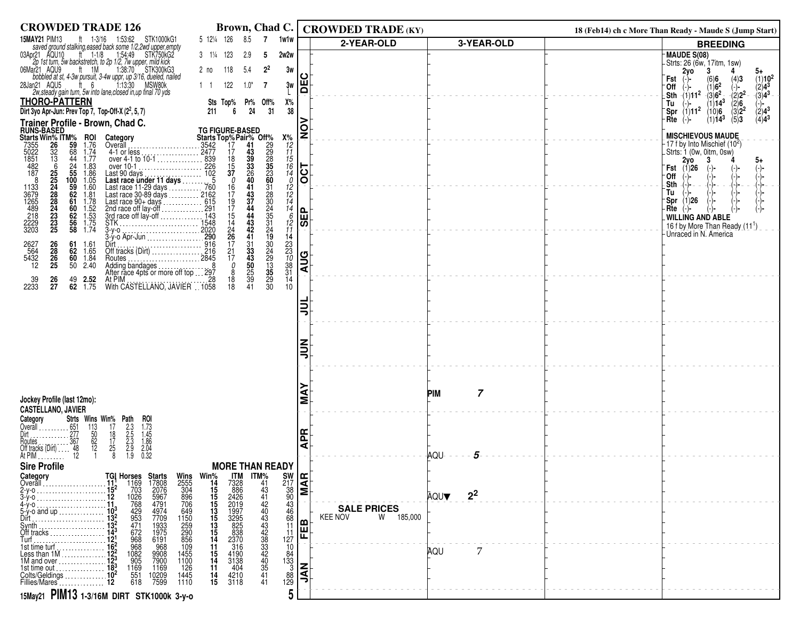| <b>CROWDED TRADE 126</b>                                                                                                                                                                                                                                                           |                                                                                                                | Brown, Chad C.                                                                                 |                                                | <b>CROWDED TRADE (KY)</b>   |                        | 18 (Feb14) ch c More Than Ready - Maude S (Jump Start)                                                                                               |
|------------------------------------------------------------------------------------------------------------------------------------------------------------------------------------------------------------------------------------------------------------------------------------|----------------------------------------------------------------------------------------------------------------|------------------------------------------------------------------------------------------------|------------------------------------------------|-----------------------------|------------------------|------------------------------------------------------------------------------------------------------------------------------------------------------|
| <b>15MAY21 PIM13</b><br>ft 1-3/16 1:53:62 STK1000kG1                                                                                                                                                                                                                               | 5 121/4 126<br>8.5                                                                                             | 1w1w<br>$\overline{7}$                                                                         |                                                | 2-YEAR-OLD                  | 3-YEAR-OLD             | <b>BREEDING</b>                                                                                                                                      |
| saved ground stalking, eased back some 1/2,2wd upper, empty<br>03Apr21 AQU10 ft 1-1/8 1:54:49 STK750kG2<br>2p 1st turn, 5w backstretch, to 2p 1/2, 7w upper, mild kick                                                                                                             | $3 \t1\frac{1}{4} \t123$<br>2.9                                                                                | 2w2w<br>-5                                                                                     |                                                |                             |                        | MAUDE S(08)<br>- Strts: 26 (6w, 17itm, 1sw)                                                                                                          |
| 06Mar21 AQU9                                                                                                                                                                                                                                                                       | 118<br>5.4<br>2 no                                                                                             | $2^2$<br>3w                                                                                    |                                                |                             |                        | 2yo<br>3<br>5+                                                                                                                                       |
| $\frac{2p}{4p^2}$ 1st turn, 5w backsubic in $\frac{1}{3}$ 1.38.70 Structure 1.28.70 Structure 1.28.70 Structure 1.28.70 Structure 1.28.70 Structure 1.28.70 Structure 1.28.70 Structure 1.28.70 Structure 1.28.70 Structure 1.28.70 S<br>28Jan21 AQU5                              | 122<br>$1\quad1$<br>$1.0*$                                                                                     | 3w<br>- 7                                                                                      | ш<br>ō                                         |                             |                        | $(-)$<br>$(1)10^2$<br>(2)4 <sup>3</sup><br>-(3)4 <sup>3</sup> -<br>(6)6<br>$^{(4)3}_{(-)-}$<br>(-)-<br>-(2)2 <sup>2</sup><br>Fst<br>$(1)6^2$<br>⊺Off |
| 2w, steady gain turn, 5w into lane, closed in, up final 70 yds<br><b>THORO-PATTERN</b>                                                                                                                                                                                             | Sts Top%                                                                                                       | Х%<br>Pr% Off%                                                                                 |                                                |                             |                        | $-(3)6^2$<br>$(1)14^{3}$<br>Tu                                                                                                                       |
| Dirt 3yo Apr-Jun: Prev Top 7, Top-Off-X (2 <sup>2</sup> , 5, 7)                                                                                                                                                                                                                    | 24<br>211<br>6                                                                                                 | 31<br>38                                                                                       |                                                |                             |                        | $\sqrt{2}\overline{6}$<br>(3)2 <sup>2</sup><br>$\binom{(-)}{(2)4^3}$<br>$\sqrt{5}$ pr $\sqrt{(1)}$ 11 <sup>2</sup><br>(10)6                          |
| Trainer Profile - Brown, Chad C.                                                                                                                                                                                                                                                   |                                                                                                                |                                                                                                |                                                |                             |                        | $(4)4^3$<br>$(1)14^{3}$<br>(5)3<br>$Rte$ $(-)$                                                                                                       |
| <b>FINISE PRODUCED</b><br>Starts Win <sup>9</sup> (FM)<br>7355 26 59<br>5022 32 68<br>1851 13 44<br>187 25 500<br>187<br><b>ROI</b><br>1.76                                                                                                                                        |                                                                                                                | $x_{12}^{\%}$                                                                                  | $\frac{1}{2}$                                  |                             |                        | <b>MISCHIEVOUS MAUDE</b>                                                                                                                             |
| 1.74                                                                                                                                                                                                                                                                               |                                                                                                                |                                                                                                |                                                |                             |                        | $-17$ f by Into Mischief (10 <sup>2</sup> )<br>Strts: 1 (0w, 0itm, 0sw)                                                                              |
| 1.77<br>1.83                                                                                                                                                                                                                                                                       |                                                                                                                | $\frac{17}{15}$<br>$\frac{15}{16}$                                                             |                                                |                             |                        | 2y <sub>0</sub><br>5+<br>Fst (1)26                                                                                                                   |
| 1.86<br>$1.05$<br>$1.60$                                                                                                                                                                                                                                                           |                                                                                                                | 14                                                                                             | $\overline{5}$                                 |                             |                        | $\binom{-}{-}$<br>∙Off<br>Sth<br>(-)−                                                                                                                |
| 25<br>25<br>24<br>23<br>23<br>23<br>23<br>25<br>$\frac{100}{59}$<br>$\frac{62}{61}$<br>$\frac{61}{60}$<br>1133<br>3679<br>1265<br>128<br>489<br>218<br>2229<br>3203                                                                                                                |                                                                                                                | $\frac{10}{12}$<br>$\frac{12}{14}$                                                             |                                                |                             |                        | Tu<br>(-)-                                                                                                                                           |
| $1.81$<br>$1.78$<br>$1.52$<br>$1.53$<br>$1.75$<br>$1.74$                                                                                                                                                                                                                           |                                                                                                                | 14                                                                                             |                                                |                             |                        | (1)26<br>-Spr<br>Rte                                                                                                                                 |
| $\frac{62}{56}$<br>58                                                                                                                                                                                                                                                              |                                                                                                                | 6                                                                                              | $ \mathbf{H} $<br>। $\overline{\bm{\omega}}$ । |                             |                        | <b>WILLING AND ABLE</b>                                                                                                                              |
| <b>MD</b> , Chad C.<br>Category<br>Coverall<br>Coverall<br>Coverall<br>4-1 or less<br>4-1 or less<br>$2477$<br>$477$<br>$4929$<br>$494$<br>$4010$<br>$41010$<br>$41010$<br>$41010$<br>$41010$<br>$41010$<br>$41010$<br>$41010$<br>$41010$<br>$41010$<br>$41010$<br>$41010$<br>$41$ | 15<br>14<br>24<br>26<br>17<br>21                                                                               | $\frac{12}{11}$                                                                                |                                                |                             |                        | 16 f by More Than Ready (11 <sup>1</sup> )<br>Unraced in N. America                                                                                  |
| Dirt<br>Off tracks (Dirt)<br>216<br>$\frac{26}{28}$<br>61<br>62<br>1.61<br>1.65                                                                                                                                                                                                    |                                                                                                                |                                                                                                |                                                |                             |                        |                                                                                                                                                      |
| 2627<br>564<br>5432<br>12<br>$\frac{26}{25}$<br>60<br>1.84<br>Routes.<br>50 2.40                                                                                                                                                                                                   | 2845<br>17                                                                                                     |                                                                                                | <b>AUG</b>                                     |                             |                        |                                                                                                                                                      |
| Adding bandages<br>After race 4pts or more off top 297                                                                                                                                                                                                                             | $41$<br>$33$<br>$43$<br>$50$<br>$25$<br>$39$<br>$41$<br>$_{8}^{\mathit{0}}$                                    | 19<br>30<br>24<br>29<br>35<br>35<br>30<br>30<br>$1423$<br>$23$<br>$10$<br>$38$<br>$31$<br>$14$ |                                                |                             |                        |                                                                                                                                                      |
| $\frac{26}{27}$<br>$2.52$<br>$1.75$<br>$\frac{39}{2233}$<br>$^{49}_{62}$<br>With CASTELLANO, JAVIER 1958                                                                                                                                                                           | $\begin{array}{c} 18 \\ 18 \end{array}$                                                                        | 10 <sup>1</sup>                                                                                |                                                |                             |                        |                                                                                                                                                      |
|                                                                                                                                                                                                                                                                                    |                                                                                                                |                                                                                                |                                                |                             |                        |                                                                                                                                                      |
|                                                                                                                                                                                                                                                                                    |                                                                                                                |                                                                                                |                                                |                             |                        |                                                                                                                                                      |
|                                                                                                                                                                                                                                                                                    |                                                                                                                |                                                                                                |                                                |                             |                        |                                                                                                                                                      |
|                                                                                                                                                                                                                                                                                    |                                                                                                                |                                                                                                |                                                |                             |                        |                                                                                                                                                      |
|                                                                                                                                                                                                                                                                                    |                                                                                                                |                                                                                                |                                                |                             |                        |                                                                                                                                                      |
|                                                                                                                                                                                                                                                                                    |                                                                                                                |                                                                                                |                                                |                             |                        |                                                                                                                                                      |
|                                                                                                                                                                                                                                                                                    |                                                                                                                |                                                                                                |                                                |                             |                        |                                                                                                                                                      |
| Jockey Profile (last 12mo):                                                                                                                                                                                                                                                        |                                                                                                                |                                                                                                |                                                |                             | 7<br><b>PIM</b>        |                                                                                                                                                      |
| <b>CASTELLANO, JAVIER</b><br>Strts Wins Win% Path                                                                                                                                                                                                                                  |                                                                                                                |                                                                                                |                                                |                             |                        |                                                                                                                                                      |
| roi                                                                                                                                                                                                                                                                                |                                                                                                                |                                                                                                |                                                |                             |                        |                                                                                                                                                      |
| $\frac{113}{50}$<br>$\frac{50}{62}$<br>$\frac{62}{12}$<br>$\frac{17}{18}$<br>$\frac{17}{25}$<br>8                                                                                                                                                                                  |                                                                                                                |                                                                                                | ᅂ<br>⋖                                         |                             |                        |                                                                                                                                                      |
| 2:3<br>2:5<br>2:5<br>2:9<br>1:9<br>$1.73$<br>$1.45$<br>$1.86$<br>$2.04$<br>$0.32$                                                                                                                                                                                                  |                                                                                                                |                                                                                                |                                                |                             | AQU-<br>5              |                                                                                                                                                      |
| <b>Sire Profile</b>                                                                                                                                                                                                                                                                | <b>MORE THAN READY</b>                                                                                         |                                                                                                |                                                |                             |                        |                                                                                                                                                      |
| Category<br>Overall                                                                                                                                                                                                                                                                |                                                                                                                |                                                                                                |                                                |                             |                        |                                                                                                                                                      |
| <b>TGI Horses Starts</b><br>11 <sup>1</sup> 1169 17808<br>15 <sup>2</sup> 703 2076<br>12 1026 5967<br>113 768 4791                                                                                                                                                                 | <b>ITM</b><br>7328<br>886<br>2426                                                                              |                                                                                                | $\frac{\text{SW}}{\text{38}}$                  |                             | 2 <sup>2</sup><br>AQUV |                                                                                                                                                      |
| Wins<br>2555<br>304<br>896<br>70649<br>506<br>2590<br>856<br>1155<br>1155<br>1100<br>1169<br>703<br>1026<br>768<br>42953<br>471<br>672<br>968<br>10 <sup>3</sup><br>$5-y$ -o and up                                                                                                | Win%<br>14<br>15<br>15<br>15<br>15<br>11<br>11<br>11<br>14<br>11<br>2019<br>1997<br>3295<br>825<br>838<br>2370 | $\frac{43}{46}$<br>68                                                                          |                                                | <b>SALE PRICES</b>          |                        |                                                                                                                                                      |
| 4974<br>7709<br>1933<br>1975<br>6191<br>Dirt                                                                                                                                                                                                                                       |                                                                                                                | 11                                                                                             |                                                | <b>KEE NOV</b><br>W 185,000 |                        |                                                                                                                                                      |
| Off tracks and the control of the control of the control of the control of the control of the control of the c                                                                                                                                                                     |                                                                                                                | 11<br>127                                                                                      | FEB                                            |                             |                        |                                                                                                                                                      |
| 968<br>1082<br>905<br>968<br>9908<br>7900                                                                                                                                                                                                                                          | 316<br>11                                                                                                      |                                                                                                |                                                |                             | 7<br>aqu               |                                                                                                                                                      |
| 1169<br>1169<br>126<br>1st time out $\ldots$                                                                                                                                                                                                                                       | $\begin{array}{c} 15 \\ 14 \end{array}$<br>4190<br>3138<br>404<br>11                                           |                                                                                                |                                                |                             |                        |                                                                                                                                                      |
| $\frac{551}{618}$<br>10209<br>7599<br>1445<br>Colts/Geldings<br>1110<br>Fillies/Mares                                                                                                                                                                                              | 4210<br>3118<br>$\frac{14}{15}$                                                                                | $\frac{10}{10}$<br>$\frac{84}{33}$<br>$\frac{3}{38}$<br>$\frac{88}{129}$<br>41                 | $\overline{M}$                                 |                             |                        |                                                                                                                                                      |
| 15May21 PIM13 1-3/16M DIRT STK1000k 3-y-0                                                                                                                                                                                                                                          |                                                                                                                | 5                                                                                              |                                                |                             |                        |                                                                                                                                                      |
|                                                                                                                                                                                                                                                                                    |                                                                                                                |                                                                                                |                                                |                             |                        |                                                                                                                                                      |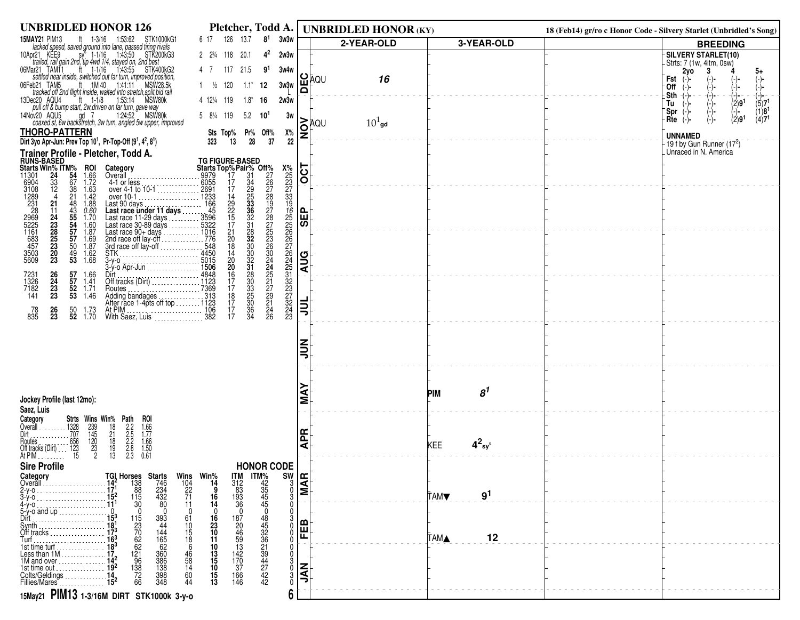| 15MAY21 PIM13<br>126<br>13.7<br>8 <sup>1</sup><br>3w3w<br>ft $1-3/16$ 1:53:62<br>STK1000kG1<br>6 17<br>2-YEAR-OLD<br>3-YEAR-OLD<br><b>BREEDING</b><br>lacked speed, saved ground into lane, passed tiring rivals<br>sy <sup>5</sup> 1-1/16 1:43:50 STK200kG3<br>-SILVERY STARLET(10)<br>10Apr21 KEE9<br>2 2 3/4 118 20.1<br>$4^2$<br>2w3w<br>trailed, rail gain 2nd, tip 4wd 1/4, stayed on, 2nd best<br>-Strts: 7 (1w, 4itm, 0sw)<br>1:43:55 STK400KG2<br>06Mar21 TAM11<br>$ft = 1 - 1/16$<br>4 7 117 21.5<br>91<br>3w4w<br>2y <sub>o</sub><br>3<br>5+<br><b>≌</b> ĀQU<br>settled near inside, switched out far turn, improved position,<br>16<br>Fst<br>$\binom{-}{-}$<br>(-)-<br>$\frac{1}{10}$ 1M 40 1.41.11<br>06Feb21 TAM5<br>MSW28.5k<br>$1 \frac{1}{2}$ 120<br>$1.1*$<br>3w3w<br>12<br>0ff<br>(−)−<br>$\Omega$<br>tracked off 2nd flight inside, waited into stretch, split, bid rail<br>.Sth<br>-(-)−<br>(→)-<br>ec20 AQU4 tt 1-1/8 1:53:14 MSW80k<br>pull off & bump start, 2w, driven on far turn, gave way<br>13Dec20 AQU4<br>4 12 <sup>1</sup> / <sub>4</sub> 119<br>$1.8*$<br>2w3w<br>16<br>(2)9 <sup>1</sup><br>(5)7 <sup>1</sup><br>Tu<br>(-)-<br>$(1)81$<br>(4)7 <sup>1</sup><br>Spr<br>$(-)$ -<br>1:24:52 MSW80k<br>14Nov20 AQU5<br>ad 7<br>5.2<br>5 8 <sup>1</sup> / <sub>4</sub> 119<br>3w<br>$10^1$<br>(2)9 <sup>1</sup><br>Rte<br>(-)-<br>i≥hou<br>$101$ gd<br>coaxed st, 6w backstretch, 3w turn, angled 5w upper, improved<br>ă<br><b>THORO-PATTERN</b><br>Х%<br>Sts Top% Pr% Off%<br><b>UNNAMED</b><br>Dirt 3yo Apr-Jun: Prev Top 10 <sup>1</sup> , Pr-Top-Off (9 <sup>1</sup> , 4 <sup>2</sup> , 8 <sup>1</sup> )<br>28<br>37<br>$22\,$<br>323<br>13<br>$-19$ f by Gun Runner $(172)$<br>Unraced in N. America<br>Trainer Profile - Pletcher, Todd A.<br><b>RUNS-BASED</b><br><b>TG FIGURE-BASED</b><br><b>Starts Top%Pair% Off%</b><br>19979 17 31 226<br>19979 17 34 226<br>19979 17 34 226<br>120691 1233<br>12068 29 333 19<br>12068 225 336 227<br>110166 20 332 225<br>110166 20 322 24<br>144501 144501 30<br>144501 15<br>1506 31 17<br><br>$\overline{C}$<br>Starts Win% ITM%<br>11301 24 54<br><b>ROI</b><br>1.66<br>1.72<br>Category<br>Overāll<br>6904<br>3108<br>1289<br>2231<br>2969<br>5225<br>1163<br>3503<br>457<br>3503<br>5609<br>$\frac{33}{12}$<br>$\frac{67}{38}$<br>21<br>$4-1$ or less<br>over 4-1 to 10-1<br>over 10-1<br>over 10-1<br>1.63<br>1.42<br>21<br>48<br>43<br>55<br>55<br>57<br>57<br>$\frac{1.88}{0.60}$<br>1.70<br>over 10-1<br>Last 90 days<br>Last race under 11 days<br>Last race 11-29 days<br>Last race 11-29 days<br>Last race 30-89 days<br>Last race 90-4 days<br>Last race 90-4 days<br>Last race 90-4 days<br>2nd race off lay-off<br>2nd race off lay-off<br><br>메<br>$\begin{array}{c} 11 \\ 24 \\ 23 \\ 26 \\ 25 \\ 20 \\ 20 \\ 23 \end{array}$<br> ळ <br>1.60<br>1.87<br>1.69<br>$\frac{50}{49}$<br>53<br>1.87<br>$\frac{1.62}{1.68}$<br><b>AUG</b><br>Dirt 4848<br>Off tracks (Dirt) 4848<br>$\frac{26}{24}$<br>$\frac{23}{23}$<br>$\frac{57}{57}$<br>7231<br>1326<br>7182<br>1.66<br>1.41<br>$\frac{52}{53}$ 1.71<br>53 1.46<br>Routes<br>Adding bandages<br>After race 1-4pts off top  1123<br>141<br>Adding bandages.<br>흷<br>$\frac{26}{23}$<br>$\frac{50}{52}$<br>At PIM<br>With Saez, Luis<br>With Saez, Luis<br>78<br>835<br>1.73<br>1.70<br>ミミ | <b>UNBRIDLED HONOR 126</b> | Pletcher, Todd A. | <b>UNBRIDLED HONOR (KY)</b> |                              | 18 (Feb14) gr/ro c Honor Code - Silvery Starlet (Unbridled's Song) |
|---------------------------------------------------------------------------------------------------------------------------------------------------------------------------------------------------------------------------------------------------------------------------------------------------------------------------------------------------------------------------------------------------------------------------------------------------------------------------------------------------------------------------------------------------------------------------------------------------------------------------------------------------------------------------------------------------------------------------------------------------------------------------------------------------------------------------------------------------------------------------------------------------------------------------------------------------------------------------------------------------------------------------------------------------------------------------------------------------------------------------------------------------------------------------------------------------------------------------------------------------------------------------------------------------------------------------------------------------------------------------------------------------------------------------------------------------------------------------------------------------------------------------------------------------------------------------------------------------------------------------------------------------------------------------------------------------------------------------------------------------------------------------------------------------------------------------------------------------------------------------------------------------------------------------------------------------------------------------------------------------------------------------------------------------------------------------------------------------------------------------------------------------------------------------------------------------------------------------------------------------------------------------------------------------------------------------------------------------------------------------------------------------------------------------------------------------------------------------------------------------------------------------------------------------------------------------------------------------------------------------------------------------------------------------------------------------------------------------------------------------------------------------------------------------------------------------------------------------------------------------------------------------------------------------------------------------------------------------------------------------------------------------------------------------------------------------------------------------------------------------------------------------------------------------------------------------------------------------------------------------------------------------------------------------------------------------------------|----------------------------|-------------------|-----------------------------|------------------------------|--------------------------------------------------------------------|
|                                                                                                                                                                                                                                                                                                                                                                                                                                                                                                                                                                                                                                                                                                                                                                                                                                                                                                                                                                                                                                                                                                                                                                                                                                                                                                                                                                                                                                                                                                                                                                                                                                                                                                                                                                                                                                                                                                                                                                                                                                                                                                                                                                                                                                                                                                                                                                                                                                                                                                                                                                                                                                                                                                                                                                                                                                                                                                                                                                                                                                                                                                                                                                                                                                                                                                                                       |                            |                   |                             |                              |                                                                    |
|                                                                                                                                                                                                                                                                                                                                                                                                                                                                                                                                                                                                                                                                                                                                                                                                                                                                                                                                                                                                                                                                                                                                                                                                                                                                                                                                                                                                                                                                                                                                                                                                                                                                                                                                                                                                                                                                                                                                                                                                                                                                                                                                                                                                                                                                                                                                                                                                                                                                                                                                                                                                                                                                                                                                                                                                                                                                                                                                                                                                                                                                                                                                                                                                                                                                                                                                       |                            |                   |                             |                              |                                                                    |
|                                                                                                                                                                                                                                                                                                                                                                                                                                                                                                                                                                                                                                                                                                                                                                                                                                                                                                                                                                                                                                                                                                                                                                                                                                                                                                                                                                                                                                                                                                                                                                                                                                                                                                                                                                                                                                                                                                                                                                                                                                                                                                                                                                                                                                                                                                                                                                                                                                                                                                                                                                                                                                                                                                                                                                                                                                                                                                                                                                                                                                                                                                                                                                                                                                                                                                                                       |                            |                   |                             |                              |                                                                    |
|                                                                                                                                                                                                                                                                                                                                                                                                                                                                                                                                                                                                                                                                                                                                                                                                                                                                                                                                                                                                                                                                                                                                                                                                                                                                                                                                                                                                                                                                                                                                                                                                                                                                                                                                                                                                                                                                                                                                                                                                                                                                                                                                                                                                                                                                                                                                                                                                                                                                                                                                                                                                                                                                                                                                                                                                                                                                                                                                                                                                                                                                                                                                                                                                                                                                                                                                       |                            |                   |                             |                              |                                                                    |
|                                                                                                                                                                                                                                                                                                                                                                                                                                                                                                                                                                                                                                                                                                                                                                                                                                                                                                                                                                                                                                                                                                                                                                                                                                                                                                                                                                                                                                                                                                                                                                                                                                                                                                                                                                                                                                                                                                                                                                                                                                                                                                                                                                                                                                                                                                                                                                                                                                                                                                                                                                                                                                                                                                                                                                                                                                                                                                                                                                                                                                                                                                                                                                                                                                                                                                                                       |                            |                   |                             |                              |                                                                    |
|                                                                                                                                                                                                                                                                                                                                                                                                                                                                                                                                                                                                                                                                                                                                                                                                                                                                                                                                                                                                                                                                                                                                                                                                                                                                                                                                                                                                                                                                                                                                                                                                                                                                                                                                                                                                                                                                                                                                                                                                                                                                                                                                                                                                                                                                                                                                                                                                                                                                                                                                                                                                                                                                                                                                                                                                                                                                                                                                                                                                                                                                                                                                                                                                                                                                                                                                       |                            |                   |                             |                              |                                                                    |
|                                                                                                                                                                                                                                                                                                                                                                                                                                                                                                                                                                                                                                                                                                                                                                                                                                                                                                                                                                                                                                                                                                                                                                                                                                                                                                                                                                                                                                                                                                                                                                                                                                                                                                                                                                                                                                                                                                                                                                                                                                                                                                                                                                                                                                                                                                                                                                                                                                                                                                                                                                                                                                                                                                                                                                                                                                                                                                                                                                                                                                                                                                                                                                                                                                                                                                                                       |                            |                   |                             |                              |                                                                    |
|                                                                                                                                                                                                                                                                                                                                                                                                                                                                                                                                                                                                                                                                                                                                                                                                                                                                                                                                                                                                                                                                                                                                                                                                                                                                                                                                                                                                                                                                                                                                                                                                                                                                                                                                                                                                                                                                                                                                                                                                                                                                                                                                                                                                                                                                                                                                                                                                                                                                                                                                                                                                                                                                                                                                                                                                                                                                                                                                                                                                                                                                                                                                                                                                                                                                                                                                       |                            |                   |                             |                              |                                                                    |
|                                                                                                                                                                                                                                                                                                                                                                                                                                                                                                                                                                                                                                                                                                                                                                                                                                                                                                                                                                                                                                                                                                                                                                                                                                                                                                                                                                                                                                                                                                                                                                                                                                                                                                                                                                                                                                                                                                                                                                                                                                                                                                                                                                                                                                                                                                                                                                                                                                                                                                                                                                                                                                                                                                                                                                                                                                                                                                                                                                                                                                                                                                                                                                                                                                                                                                                                       |                            |                   |                             |                              |                                                                    |
|                                                                                                                                                                                                                                                                                                                                                                                                                                                                                                                                                                                                                                                                                                                                                                                                                                                                                                                                                                                                                                                                                                                                                                                                                                                                                                                                                                                                                                                                                                                                                                                                                                                                                                                                                                                                                                                                                                                                                                                                                                                                                                                                                                                                                                                                                                                                                                                                                                                                                                                                                                                                                                                                                                                                                                                                                                                                                                                                                                                                                                                                                                                                                                                                                                                                                                                                       |                            |                   |                             |                              |                                                                    |
|                                                                                                                                                                                                                                                                                                                                                                                                                                                                                                                                                                                                                                                                                                                                                                                                                                                                                                                                                                                                                                                                                                                                                                                                                                                                                                                                                                                                                                                                                                                                                                                                                                                                                                                                                                                                                                                                                                                                                                                                                                                                                                                                                                                                                                                                                                                                                                                                                                                                                                                                                                                                                                                                                                                                                                                                                                                                                                                                                                                                                                                                                                                                                                                                                                                                                                                                       |                            |                   |                             |                              |                                                                    |
|                                                                                                                                                                                                                                                                                                                                                                                                                                                                                                                                                                                                                                                                                                                                                                                                                                                                                                                                                                                                                                                                                                                                                                                                                                                                                                                                                                                                                                                                                                                                                                                                                                                                                                                                                                                                                                                                                                                                                                                                                                                                                                                                                                                                                                                                                                                                                                                                                                                                                                                                                                                                                                                                                                                                                                                                                                                                                                                                                                                                                                                                                                                                                                                                                                                                                                                                       |                            |                   |                             |                              |                                                                    |
|                                                                                                                                                                                                                                                                                                                                                                                                                                                                                                                                                                                                                                                                                                                                                                                                                                                                                                                                                                                                                                                                                                                                                                                                                                                                                                                                                                                                                                                                                                                                                                                                                                                                                                                                                                                                                                                                                                                                                                                                                                                                                                                                                                                                                                                                                                                                                                                                                                                                                                                                                                                                                                                                                                                                                                                                                                                                                                                                                                                                                                                                                                                                                                                                                                                                                                                                       |                            |                   |                             |                              |                                                                    |
|                                                                                                                                                                                                                                                                                                                                                                                                                                                                                                                                                                                                                                                                                                                                                                                                                                                                                                                                                                                                                                                                                                                                                                                                                                                                                                                                                                                                                                                                                                                                                                                                                                                                                                                                                                                                                                                                                                                                                                                                                                                                                                                                                                                                                                                                                                                                                                                                                                                                                                                                                                                                                                                                                                                                                                                                                                                                                                                                                                                                                                                                                                                                                                                                                                                                                                                                       |                            |                   |                             |                              |                                                                    |
|                                                                                                                                                                                                                                                                                                                                                                                                                                                                                                                                                                                                                                                                                                                                                                                                                                                                                                                                                                                                                                                                                                                                                                                                                                                                                                                                                                                                                                                                                                                                                                                                                                                                                                                                                                                                                                                                                                                                                                                                                                                                                                                                                                                                                                                                                                                                                                                                                                                                                                                                                                                                                                                                                                                                                                                                                                                                                                                                                                                                                                                                                                                                                                                                                                                                                                                                       |                            |                   |                             |                              |                                                                    |
|                                                                                                                                                                                                                                                                                                                                                                                                                                                                                                                                                                                                                                                                                                                                                                                                                                                                                                                                                                                                                                                                                                                                                                                                                                                                                                                                                                                                                                                                                                                                                                                                                                                                                                                                                                                                                                                                                                                                                                                                                                                                                                                                                                                                                                                                                                                                                                                                                                                                                                                                                                                                                                                                                                                                                                                                                                                                                                                                                                                                                                                                                                                                                                                                                                                                                                                                       |                            |                   |                             |                              |                                                                    |
|                                                                                                                                                                                                                                                                                                                                                                                                                                                                                                                                                                                                                                                                                                                                                                                                                                                                                                                                                                                                                                                                                                                                                                                                                                                                                                                                                                                                                                                                                                                                                                                                                                                                                                                                                                                                                                                                                                                                                                                                                                                                                                                                                                                                                                                                                                                                                                                                                                                                                                                                                                                                                                                                                                                                                                                                                                                                                                                                                                                                                                                                                                                                                                                                                                                                                                                                       |                            |                   |                             |                              |                                                                    |
|                                                                                                                                                                                                                                                                                                                                                                                                                                                                                                                                                                                                                                                                                                                                                                                                                                                                                                                                                                                                                                                                                                                                                                                                                                                                                                                                                                                                                                                                                                                                                                                                                                                                                                                                                                                                                                                                                                                                                                                                                                                                                                                                                                                                                                                                                                                                                                                                                                                                                                                                                                                                                                                                                                                                                                                                                                                                                                                                                                                                                                                                                                                                                                                                                                                                                                                                       |                            |                   |                             |                              |                                                                    |
|                                                                                                                                                                                                                                                                                                                                                                                                                                                                                                                                                                                                                                                                                                                                                                                                                                                                                                                                                                                                                                                                                                                                                                                                                                                                                                                                                                                                                                                                                                                                                                                                                                                                                                                                                                                                                                                                                                                                                                                                                                                                                                                                                                                                                                                                                                                                                                                                                                                                                                                                                                                                                                                                                                                                                                                                                                                                                                                                                                                                                                                                                                                                                                                                                                                                                                                                       |                            |                   |                             |                              |                                                                    |
|                                                                                                                                                                                                                                                                                                                                                                                                                                                                                                                                                                                                                                                                                                                                                                                                                                                                                                                                                                                                                                                                                                                                                                                                                                                                                                                                                                                                                                                                                                                                                                                                                                                                                                                                                                                                                                                                                                                                                                                                                                                                                                                                                                                                                                                                                                                                                                                                                                                                                                                                                                                                                                                                                                                                                                                                                                                                                                                                                                                                                                                                                                                                                                                                                                                                                                                                       |                            |                   |                             |                              |                                                                    |
|                                                                                                                                                                                                                                                                                                                                                                                                                                                                                                                                                                                                                                                                                                                                                                                                                                                                                                                                                                                                                                                                                                                                                                                                                                                                                                                                                                                                                                                                                                                                                                                                                                                                                                                                                                                                                                                                                                                                                                                                                                                                                                                                                                                                                                                                                                                                                                                                                                                                                                                                                                                                                                                                                                                                                                                                                                                                                                                                                                                                                                                                                                                                                                                                                                                                                                                                       |                            |                   |                             |                              |                                                                    |
|                                                                                                                                                                                                                                                                                                                                                                                                                                                                                                                                                                                                                                                                                                                                                                                                                                                                                                                                                                                                                                                                                                                                                                                                                                                                                                                                                                                                                                                                                                                                                                                                                                                                                                                                                                                                                                                                                                                                                                                                                                                                                                                                                                                                                                                                                                                                                                                                                                                                                                                                                                                                                                                                                                                                                                                                                                                                                                                                                                                                                                                                                                                                                                                                                                                                                                                                       |                            |                   |                             |                              |                                                                    |
|                                                                                                                                                                                                                                                                                                                                                                                                                                                                                                                                                                                                                                                                                                                                                                                                                                                                                                                                                                                                                                                                                                                                                                                                                                                                                                                                                                                                                                                                                                                                                                                                                                                                                                                                                                                                                                                                                                                                                                                                                                                                                                                                                                                                                                                                                                                                                                                                                                                                                                                                                                                                                                                                                                                                                                                                                                                                                                                                                                                                                                                                                                                                                                                                                                                                                                                                       |                            |                   |                             |                              |                                                                    |
|                                                                                                                                                                                                                                                                                                                                                                                                                                                                                                                                                                                                                                                                                                                                                                                                                                                                                                                                                                                                                                                                                                                                                                                                                                                                                                                                                                                                                                                                                                                                                                                                                                                                                                                                                                                                                                                                                                                                                                                                                                                                                                                                                                                                                                                                                                                                                                                                                                                                                                                                                                                                                                                                                                                                                                                                                                                                                                                                                                                                                                                                                                                                                                                                                                                                                                                                       |                            |                   |                             |                              |                                                                    |
|                                                                                                                                                                                                                                                                                                                                                                                                                                                                                                                                                                                                                                                                                                                                                                                                                                                                                                                                                                                                                                                                                                                                                                                                                                                                                                                                                                                                                                                                                                                                                                                                                                                                                                                                                                                                                                                                                                                                                                                                                                                                                                                                                                                                                                                                                                                                                                                                                                                                                                                                                                                                                                                                                                                                                                                                                                                                                                                                                                                                                                                                                                                                                                                                                                                                                                                                       |                            |                   |                             |                              |                                                                    |
|                                                                                                                                                                                                                                                                                                                                                                                                                                                                                                                                                                                                                                                                                                                                                                                                                                                                                                                                                                                                                                                                                                                                                                                                                                                                                                                                                                                                                                                                                                                                                                                                                                                                                                                                                                                                                                                                                                                                                                                                                                                                                                                                                                                                                                                                                                                                                                                                                                                                                                                                                                                                                                                                                                                                                                                                                                                                                                                                                                                                                                                                                                                                                                                                                                                                                                                                       |                            |                   |                             |                              |                                                                    |
|                                                                                                                                                                                                                                                                                                                                                                                                                                                                                                                                                                                                                                                                                                                                                                                                                                                                                                                                                                                                                                                                                                                                                                                                                                                                                                                                                                                                                                                                                                                                                                                                                                                                                                                                                                                                                                                                                                                                                                                                                                                                                                                                                                                                                                                                                                                                                                                                                                                                                                                                                                                                                                                                                                                                                                                                                                                                                                                                                                                                                                                                                                                                                                                                                                                                                                                                       |                            |                   |                             |                              |                                                                    |
| Jockey Profile (last 12mo):<br>Σ                                                                                                                                                                                                                                                                                                                                                                                                                                                                                                                                                                                                                                                                                                                                                                                                                                                                                                                                                                                                                                                                                                                                                                                                                                                                                                                                                                                                                                                                                                                                                                                                                                                                                                                                                                                                                                                                                                                                                                                                                                                                                                                                                                                                                                                                                                                                                                                                                                                                                                                                                                                                                                                                                                                                                                                                                                                                                                                                                                                                                                                                                                                                                                                                                                                                                                      |                            |                   |                             | 8 <sup>1</sup><br><b>PIM</b> |                                                                    |
| Saez, Luis                                                                                                                                                                                                                                                                                                                                                                                                                                                                                                                                                                                                                                                                                                                                                                                                                                                                                                                                                                                                                                                                                                                                                                                                                                                                                                                                                                                                                                                                                                                                                                                                                                                                                                                                                                                                                                                                                                                                                                                                                                                                                                                                                                                                                                                                                                                                                                                                                                                                                                                                                                                                                                                                                                                                                                                                                                                                                                                                                                                                                                                                                                                                                                                                                                                                                                                            |                            |                   |                             |                              |                                                                    |
| Category<br>Overall                                                                                                                                                                                                                                                                                                                                                                                                                                                                                                                                                                                                                                                                                                                                                                                                                                                                                                                                                                                                                                                                                                                                                                                                                                                                                                                                                                                                                                                                                                                                                                                                                                                                                                                                                                                                                                                                                                                                                                                                                                                                                                                                                                                                                                                                                                                                                                                                                                                                                                                                                                                                                                                                                                                                                                                                                                                                                                                                                                                                                                                                                                                                                                                                                                                                                                                   |                            |                   |                             |                              |                                                                    |
| 운                                                                                                                                                                                                                                                                                                                                                                                                                                                                                                                                                                                                                                                                                                                                                                                                                                                                                                                                                                                                                                                                                                                                                                                                                                                                                                                                                                                                                                                                                                                                                                                                                                                                                                                                                                                                                                                                                                                                                                                                                                                                                                                                                                                                                                                                                                                                                                                                                                                                                                                                                                                                                                                                                                                                                                                                                                                                                                                                                                                                                                                                                                                                                                                                                                                                                                                                     |                            |                   |                             |                              |                                                                    |
| <b>Strts Wins Win% Path</b><br>1328 239 18 2.2<br>1.707 145 21 2.5<br>1.656 120 18 2.2<br>143 23 19 2.8<br>1.123 23 19 2.8<br><b>ROI</b><br>1.66<br>1.77<br>1.66<br>1.50<br>1.50<br>0.61<br>Houtes<br>$4^2$ sy <sup>s</sup><br>⋖<br>KEE<br>Off tracks (Dirt)                                                                                                                                                                                                                                                                                                                                                                                                                                                                                                                                                                                                                                                                                                                                                                                                                                                                                                                                                                                                                                                                                                                                                                                                                                                                                                                                                                                                                                                                                                                                                                                                                                                                                                                                                                                                                                                                                                                                                                                                                                                                                                                                                                                                                                                                                                                                                                                                                                                                                                                                                                                                                                                                                                                                                                                                                                                                                                                                                                                                                                                                          |                            |                   |                             |                              |                                                                    |
| At PIM<br><b>Sire Profile</b><br><b>HONOR CODE</b>                                                                                                                                                                                                                                                                                                                                                                                                                                                                                                                                                                                                                                                                                                                                                                                                                                                                                                                                                                                                                                                                                                                                                                                                                                                                                                                                                                                                                                                                                                                                                                                                                                                                                                                                                                                                                                                                                                                                                                                                                                                                                                                                                                                                                                                                                                                                                                                                                                                                                                                                                                                                                                                                                                                                                                                                                                                                                                                                                                                                                                                                                                                                                                                                                                                                                    |                            |                   |                             |                              |                                                                    |
| Category                                                                                                                                                                                                                                                                                                                                                                                                                                                                                                                                                                                                                                                                                                                                                                                                                                                                                                                                                                                                                                                                                                                                                                                                                                                                                                                                                                                                                                                                                                                                                                                                                                                                                                                                                                                                                                                                                                                                                                                                                                                                                                                                                                                                                                                                                                                                                                                                                                                                                                                                                                                                                                                                                                                                                                                                                                                                                                                                                                                                                                                                                                                                                                                                                                                                                                                              |                            |                   |                             |                              |                                                                    |
| Wins Win <sup>%</sup><br>104 14<br>22 9<br>71 16<br>$\frac{3}{2}$<br>$\frac{3}{2}$<br>Overall                                                                                                                                                                                                                                                                                                                                                                                                                                                                                                                                                                                                                                                                                                                                                                                                                                                                                                                                                                                                                                                                                                                                                                                                                                                                                                                                                                                                                                                                                                                                                                                                                                                                                                                                                                                                                                                                                                                                                                                                                                                                                                                                                                                                                                                                                                                                                                                                                                                                                                                                                                                                                                                                                                                                                                                                                                                                                                                                                                                                                                                                                                                                                                                                                                         |                            |                   |                             |                              |                                                                    |
| <b>TGI Horses Starts</b><br>14 <sup>2</sup> 138 746<br>17 <sup>1</sup> 88 234<br>15 <sup>2</sup> 115 432<br>11 <sup>1</sup> 30 80<br>193 12 20<br><b>ITM</b><br>312<br>83<br>193<br>193<br>36<br>$11M\frac{425}{3454449426}$<br>$48549423619447242$<br>$\frac{0}{3}$<br>9 <sup>1</sup><br><b>TAMV</b><br>14<br>$\Omega$<br>11                                                                                                                                                                                                                                                                                                                                                                                                                                                                                                                                                                                                                                                                                                                                                                                                                                                                                                                                                                                                                                                                                                                                                                                                                                                                                                                                                                                                                                                                                                                                                                                                                                                                                                                                                                                                                                                                                                                                                                                                                                                                                                                                                                                                                                                                                                                                                                                                                                                                                                                                                                                                                                                                                                                                                                                                                                                                                                                                                                                                         |                            |                   |                             |                              |                                                                    |
| $\Omega$<br>$5-y$ -o and up.<br>187<br>61<br>Dirt                                                                                                                                                                                                                                                                                                                                                                                                                                                                                                                                                                                                                                                                                                                                                                                                                                                                                                                                                                                                                                                                                                                                                                                                                                                                                                                                                                                                                                                                                                                                                                                                                                                                                                                                                                                                                                                                                                                                                                                                                                                                                                                                                                                                                                                                                                                                                                                                                                                                                                                                                                                                                                                                                                                                                                                                                                                                                                                                                                                                                                                                                                                                                                                                                                                                                     |                            |                   |                             |                              |                                                                    |
| 16<br>23<br>10<br>11<br>FEB<br>$\Omega$<br>$\Omega$                                                                                                                                                                                                                                                                                                                                                                                                                                                                                                                                                                                                                                                                                                                                                                                                                                                                                                                                                                                                                                                                                                                                                                                                                                                                                                                                                                                                                                                                                                                                                                                                                                                                                                                                                                                                                                                                                                                                                                                                                                                                                                                                                                                                                                                                                                                                                                                                                                                                                                                                                                                                                                                                                                                                                                                                                                                                                                                                                                                                                                                                                                                                                                                                                                                                                   |                            |                   |                             |                              |                                                                    |
| 115<br>23<br>70<br>62<br>12<br>96<br>3<br>7<br>2<br>6<br>5<br>7<br>6<br>5<br><br><br><br><br><br><br><br><br><br><br><br><br>20<br>46<br>59<br>51<br>13<br>14<br>17<br>37<br>$\frac{10}{15}$<br>$\frac{15}{6}$<br>Off tracks and the control of the control of the control of the control of the control of the control of the c<br>12<br><b>TAMA</b>                                                                                                                                                                                                                                                                                                                                                                                                                                                                                                                                                                                                                                                                                                                                                                                                                                                                                                                                                                                                                                                                                                                                                                                                                                                                                                                                                                                                                                                                                                                                                                                                                                                                                                                                                                                                                                                                                                                                                                                                                                                                                                                                                                                                                                                                                                                                                                                                                                                                                                                                                                                                                                                                                                                                                                                                                                                                                                                                                                                 |                            |                   |                             |                              |                                                                    |
| 10<br>13<br>15<br>10<br>15<br>13<br>$\Omega$<br>1st time turf                                                                                                                                                                                                                                                                                                                                                                                                                                                                                                                                                                                                                                                                                                                                                                                                                                                                                                                                                                                                                                                                                                                                                                                                                                                                                                                                                                                                                                                                                                                                                                                                                                                                                                                                                                                                                                                                                                                                                                                                                                                                                                                                                                                                                                                                                                                                                                                                                                                                                                                                                                                                                                                                                                                                                                                                                                                                                                                                                                                                                                                                                                                                                                                                                                                                         |                            |                   |                             |                              |                                                                    |
| $\frac{46}{58}$<br>14<br>1st time out<br>0                                                                                                                                                                                                                                                                                                                                                                                                                                                                                                                                                                                                                                                                                                                                                                                                                                                                                                                                                                                                                                                                                                                                                                                                                                                                                                                                                                                                                                                                                                                                                                                                                                                                                                                                                                                                                                                                                                                                                                                                                                                                                                                                                                                                                                                                                                                                                                                                                                                                                                                                                                                                                                                                                                                                                                                                                                                                                                                                                                                                                                                                                                                                                                                                                                                                                            |                            |                   |                             |                              |                                                                    |
| Μς<br>Ε<br>166<br>146<br>3<br>Colts/Geldings<br>Fillies/Mares<br>60<br>44<br>Ō                                                                                                                                                                                                                                                                                                                                                                                                                                                                                                                                                                                                                                                                                                                                                                                                                                                                                                                                                                                                                                                                                                                                                                                                                                                                                                                                                                                                                                                                                                                                                                                                                                                                                                                                                                                                                                                                                                                                                                                                                                                                                                                                                                                                                                                                                                                                                                                                                                                                                                                                                                                                                                                                                                                                                                                                                                                                                                                                                                                                                                                                                                                                                                                                                                                        |                            |                   |                             |                              |                                                                    |
| 15May21 PIM13 1-3/16M DIRT STK1000k 3-y-0<br>6                                                                                                                                                                                                                                                                                                                                                                                                                                                                                                                                                                                                                                                                                                                                                                                                                                                                                                                                                                                                                                                                                                                                                                                                                                                                                                                                                                                                                                                                                                                                                                                                                                                                                                                                                                                                                                                                                                                                                                                                                                                                                                                                                                                                                                                                                                                                                                                                                                                                                                                                                                                                                                                                                                                                                                                                                                                                                                                                                                                                                                                                                                                                                                                                                                                                                        |                            |                   |                             |                              |                                                                    |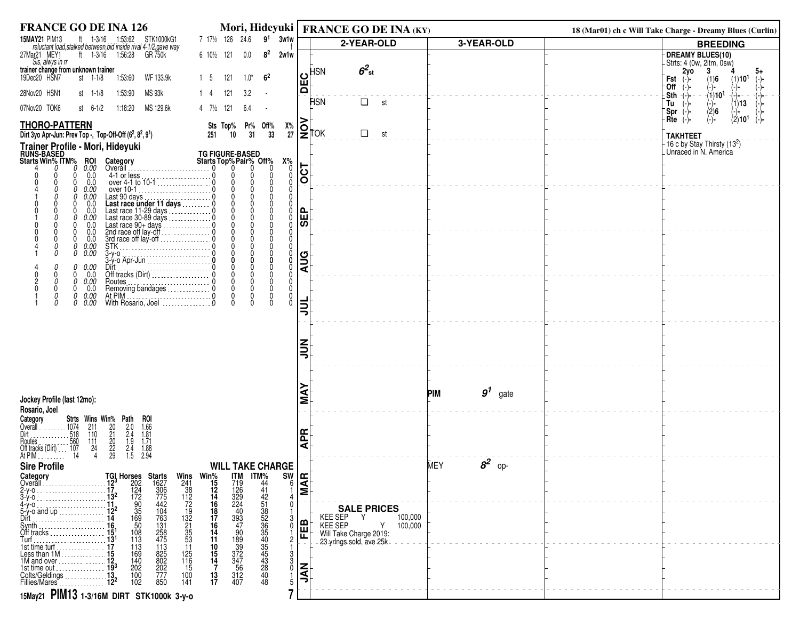| <b>FRANCE GO DE INA 126</b>                                                                                                                                                                                                                                                                                                            |                           | Mori, Hideyuki   FRANCE GO DE INA (KY)                 |                               | 18 (Mar01) ch c Will Take Charge - Dreamy Blues (Curlin)   |
|----------------------------------------------------------------------------------------------------------------------------------------------------------------------------------------------------------------------------------------------------------------------------------------------------------------------------------------|---------------------------|--------------------------------------------------------|-------------------------------|------------------------------------------------------------|
| 7 171/2 126 24.6 9 <sup>1</sup> 3w1w<br><b>15MAY21 PIM13</b><br>ft 1-3/16 1:53:62 STK1000kG1<br>reluctant load, stalked between, bid inside rival 4-1/2, gave way                                                                                                                                                                      |                           | 2-YEAR-OLD                                             | 3-YEAR-OLD                    | <b>BREEDING</b>                                            |
| 8 <sup>2</sup><br>27Mar21 MEY1<br>ft 1-3/16 1:56:28<br>GR 750k<br>6 101/2 121<br>$0.0\,$<br>2w1w<br>Sis, alwys in rr                                                                                                                                                                                                                   |                           |                                                        |                               | <b>DREAMY BLUES(10)</b><br>- Strts: 4 (0w, 2itm, 0sw)      |
| trainer change from unknown trainer<br>6 <sup>2</sup><br>$1.0^*$                                                                                                                                                                                                                                                                       | ပ                         | $6^2$ st<br><b>HSN</b>                                 |                               | 2yo<br>3<br>5+                                             |
| 121<br>19Dec20 HSN7<br>st 1-1/8<br>1:53:60<br>WF 133.9k<br>1 5                                                                                                                                                                                                                                                                         | ш<br>$\Omega$             |                                                        |                               | Fst<br>(1)6<br>$(1)$ 10 <sup>1</sup><br>∙Off<br>(−)−       |
| 28Nov20 HSN1<br>MS 93k<br>1:53:90<br>121<br>3.2<br>st 1-1/8<br>14<br>$\sim$                                                                                                                                                                                                                                                            |                           | <b>FISN</b><br>$\Box$ st                               |                               | $\dot{ }$ (1)10 $^1$<br>–(−)−<br>(1)13<br>Tu<br>(-)-       |
| MS 129.6k<br>07Nov20 TOK6<br>st $6-1/2$<br>1:18:20<br>4 7 <sup>1</sup> / <sub>2</sub> 121<br>6.4                                                                                                                                                                                                                                       |                           |                                                        |                               | $\langle 2 \rangle$ 6<br>`Spr<br>$(-)$                     |
| <b>THORO-PATTERN</b><br>Pr% Off%<br>Х%<br>Sts Top%                                                                                                                                                                                                                                                                                     | $\mathsf{S}_{\mathsf{V}}$ |                                                        |                               | (2)10 <sup>1</sup><br>$Rte$ (-)-<br>$(-)$ -<br>$(-)$       |
| 27<br>Dirt 3yo Apr-Jun: Prev Top -, Top-Off-Off (6 <sup>2</sup> , 8 <sup>2</sup> , 9 <sup>1</sup> )<br>10<br>31<br>33<br>251                                                                                                                                                                                                           |                           | $\Box$<br>st                                           |                               | <b>TAKHTEET</b><br>16 c by Stay Thirsty (13 <sup>2</sup> ) |
| Trainer Profile - Mori, Hideyuki<br>RUNS-BASED<br>TG FIGURE-BASED<br>Starts Top% Pair% Off%<br>Starts Win% ITM% ROI                                                                                                                                                                                                                    |                           |                                                        |                               | Unraced in N. America                                      |
| $X_0^{\%}$<br>Category<br>$0.00$<br>$0.0$<br>0<br>$\mathbf{0}$<br>n<br>$\mathbf{0}$<br>$\Omega$<br>0                                                                                                                                                                                                                                   | <b>130</b>                |                                                        |                               |                                                            |
| 0<br>$\Omega$<br>$\Omega$<br>0<br><sup>0</sup><br>0.0<br>$\Omega$<br>n                                                                                                                                                                                                                                                                 |                           |                                                        |                               |                                                            |
| 0.00<br>0.00<br>$\Omega$<br>$\mathbf{0}$<br>0<br>$\Omega$<br><sup>0</sup><br>$\mathbf{0}$<br>$\cup$                                                                                                                                                                                                                                    |                           |                                                        |                               |                                                            |
| 0.0<br>$^{\circ}$<br>$\Omega$<br>0<br>0.0<br>$\Omega$<br>$\Omega$<br>$\Omega$<br>0.00<br>0<br>0<br>$\Omega$                                                                                                                                                                                                                            | ۵<br>ш                    |                                                        |                               |                                                            |
| $\Omega$<br>0.0<br>$\Omega$<br>0<br>$\Omega$<br>$\Omega$<br>0<br>0.0<br>0<br>0                                                                                                                                                                                                                                                         | க                         |                                                        |                               |                                                            |
| Use The Castle of the Castle of the Castle of the Castle of the Castle Castle Castle Castle Castle Castle Castle Castle Castle Castle Castle Castle Castle Castle Castle Castle Castle Castle Castle Castle Castle Castle Cast<br>Ō<br>0.0<br>$\Omega$<br><sup>0</sup><br>$^{\circ}$<br>$\Omega$<br>$\Omega$<br>0<br>$\mathbf{0}$<br>O |                           |                                                        |                               |                                                            |
| 0.00<br>0.00<br>0<br>0<br>$\mathbf{0}$<br>Ō<br>0<br>$\Omega$                                                                                                                                                                                                                                                                           |                           |                                                        |                               |                                                            |
| $\Omega$<br>$\Omega$<br>0.00<br>$\Omega$<br>0<br>$\Omega$<br>$\mathbf 0$<br>$\Omega$                                                                                                                                                                                                                                                   | <b>AUG</b>                |                                                        |                               |                                                            |
| 0.0<br>Ž<br>0.00<br>Routes $\cdots$<br>$\Omega$<br>0<br>0<br>n<br>$\Omega$<br>$\Omega$<br>$\Omega$<br>0<br>$\Omega$                                                                                                                                                                                                                    |                           |                                                        |                               |                                                            |
| 0.0<br>$\mathbf 0$<br>At PIM<br>With Rosario, Joel<br>Communication of the United States of the United States of the United States of the U<br>$\mathbf{0}$<br>0.00<br>$\mathbf{0}$<br>$\mathbf{0}$<br>O<br>0<br>ň<br>0.00<br>$\Omega$<br>$\Omega$<br>0                                                                                |                           |                                                        |                               |                                                            |
|                                                                                                                                                                                                                                                                                                                                        | 릐                         |                                                        |                               |                                                            |
|                                                                                                                                                                                                                                                                                                                                        |                           |                                                        |                               |                                                            |
|                                                                                                                                                                                                                                                                                                                                        |                           |                                                        |                               |                                                            |
|                                                                                                                                                                                                                                                                                                                                        | $\overline{5}$            |                                                        |                               |                                                            |
|                                                                                                                                                                                                                                                                                                                                        |                           |                                                        |                               |                                                            |
|                                                                                                                                                                                                                                                                                                                                        |                           |                                                        |                               |                                                            |
| Jockey Profile (last 12mo):                                                                                                                                                                                                                                                                                                            | Š                         |                                                        | 9 <sup>1</sup><br>PIM<br>gate |                                                            |
| Rosario, Joel                                                                                                                                                                                                                                                                                                                          |                           |                                                        |                               |                                                            |
| Category<br>Strts Wins Win% Path<br>roi<br>211                                                                                                                                                                                                                                                                                         |                           |                                                        |                               |                                                            |
| Overall<br>Dirt<br>Dirt<br>Diverse 1974<br>Routes<br>Off tracks (Dirt)<br>Off tracks (Dirt)<br>20<br>21<br>22<br>22<br>29<br>$\frac{1.66}{1.81}$<br>110<br>111<br>1.71                                                                                                                                                                 | <b>APR</b>                |                                                        |                               |                                                            |
| $\begin{array}{c} 2.0 \\ 2.4 \\ 1.9 \\ 2.4 \\ 1.5 \end{array}$<br>24<br>$\frac{1.88}{2.94}$<br>14<br>$\overline{4}$<br>At PIM                                                                                                                                                                                                          |                           |                                                        |                               |                                                            |
| <b>WILL TAKE CHARGE</b><br><b>Sire Profile</b>                                                                                                                                                                                                                                                                                         |                           |                                                        | $8^2$ op-<br>MEY              |                                                            |
| $\frac{sw}{1}$ is $\frac{sw}{1}$<br>Category<br>Overall                                                                                                                                                                                                                                                                                |                           |                                                        |                               |                                                            |
| $2-y-0$<br>3-y-0<br>3-у́-о                                                                                                                                                                                                                                                                                                             |                           |                                                        |                               |                                                            |
| TGI Horses Starts<br>12 <sup>3</sup> 202 1627<br>172 124 306<br>172 775<br>112 905 442<br>144 169 763<br>144 169 763<br>151<br>16<br>4-y-o<br>$5-y$ -o and up<br>Dirt                                                                                                                                                                  |                           | <b>SALE PRICES</b>                                     |                               |                                                            |
|                                                                                                                                                                                                                                                                                                                                        | FEB                       | KEE SEP Y<br>100,000<br><b>KEE SEP</b><br>Y<br>100,000 |                               |                                                            |
| <b>Wins Win<sup>9</sup></b><br>241 38 124<br>132 146 187<br>72 16 187<br>132 153<br>21 14 110<br>53<br>104<br>763<br>131<br>258<br>475<br>108<br>113                                                                                                                                                                                   |                           | Will Take Charge 2019:<br>23 yrlngs sold, ave 25k      |                               |                                                            |
| <b>ITM%</b><br>441<br>442<br>5352<br>5352<br>355<br>435<br>43<br>43<br>43<br>4<br>4<br>TM<br>7126994403224403947009992776<br>33747009992776<br>113<br>113<br>11<br>10<br>169<br>140<br>825<br>802<br>$\frac{15}{14}$<br>125<br>116                                                                                                     |                           |                                                        |                               |                                                            |
| 202<br>202<br>$\mathbf{0}$<br>15                                                                                                                                                                                                                                                                                                       |                           |                                                        |                               |                                                            |
| $\frac{312}{407}$<br>777<br>850<br>100<br>102<br>$\frac{13}{17}$<br>100<br>141<br>48<br>5                                                                                                                                                                                                                                              | $\overline{\mathsf{K}}$   |                                                        |                               |                                                            |
| 15May21 PIM13 1-3/16M DIRT STK1000k 3-y-0                                                                                                                                                                                                                                                                                              |                           |                                                        |                               |                                                            |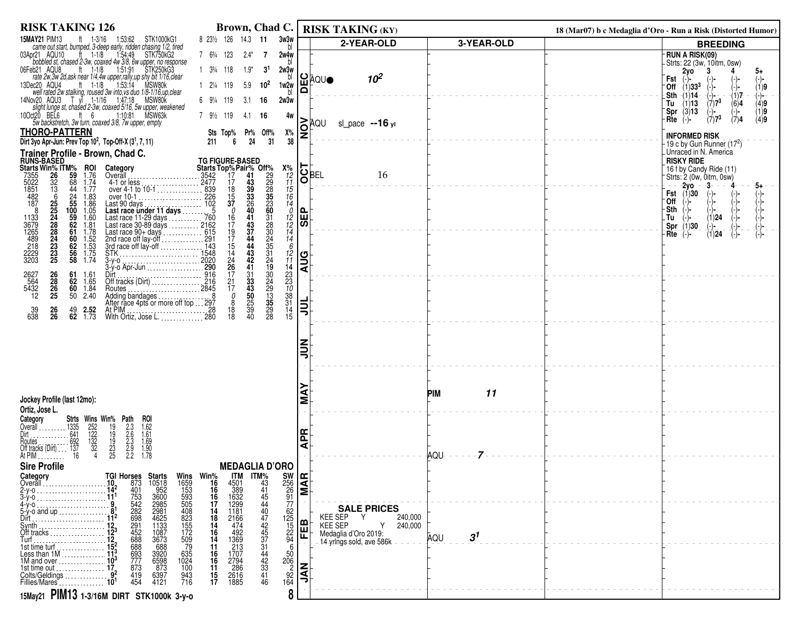| <b>RISK TAKING 126</b>                                                                                                                                                                                                                                                                                                | Brown, Chad C.                                                                                                                                                                                                                                                                |                                                                                                                                                       |                                    | <b>RISK TAKING (KY)</b>                                |                       | 18 (Mar07) b c Medaglia d'Oro - Run a Risk (Distorted Humor)                 |
|-----------------------------------------------------------------------------------------------------------------------------------------------------------------------------------------------------------------------------------------------------------------------------------------------------------------------|-------------------------------------------------------------------------------------------------------------------------------------------------------------------------------------------------------------------------------------------------------------------------------|-------------------------------------------------------------------------------------------------------------------------------------------------------|------------------------------------|--------------------------------------------------------|-----------------------|------------------------------------------------------------------------------|
| <b>15MAY21 PIM13</b><br>ft 1-3/16 1:53:62<br>STK1000kG1                                                                                                                                                                                                                                                               | 8 23 <sup>1</sup> / <sub>2</sub> 126 14.3 <b>11</b>                                                                                                                                                                                                                           | 3w3w                                                                                                                                                  |                                    | 2-YEAR-OLD                                             | 3-YEAR-OLD            | <b>BREEDING</b>                                                              |
| "Carrie out start, bumped, 3-deep early, ridden chasing 1/2, tired<br>pr21 AQU10 tt 1-1/8 1:54:49 STK750kG2<br>bobbled st, chased 2-3w, coaxed 4w 3/8, 6w upper, no response<br>03Apr21 AQU10                                                                                                                         | 7 63/4 123<br>$2.4^*$<br>7                                                                                                                                                                                                                                                    | 2w4w                                                                                                                                                  |                                    |                                                        |                       | <b>RUN A RISK(09)</b>                                                        |
| 06Feb21 AQU8                                                                                                                                                                                                                                                                                                          | $1 \t3\frac{3}{4} \t118$<br>$1.9*$<br>3 <sup>1</sup>                                                                                                                                                                                                                          | 2w3w                                                                                                                                                  |                                    |                                                        |                       | -Strts: 22 (3w, 10itm, 0sw)<br>2yo<br>3<br>5+                                |
| eb21 AQU8 the 1-1/8 1:51:91 STK250KG3<br>rate 2w, 3w 2d, ask near 1/4.4w upper, rally, up shy bit 1/16, clear<br>lec20 AQU4 ft 1-1/8 1:53:14 MSW80k<br>13Dec20 AQU4                                                                                                                                                   | $10^2$<br>1 21/4 119<br>5.9                                                                                                                                                                                                                                                   | ပ<br>ш<br>1w2w                                                                                                                                        | \QU●                               | 10 <sup>2</sup>                                        |                       | Fst<br>(-)-<br>(-)-<br>(-)-<br>(1)9<br>$-$ Off $(1)$ 33 <sup>3</sup>         |
| well rated 2w stalking, roused 3w into ys duo 1/8-1/16 up clear<br>14Nov20 AQU3 T yl 1-1/16 1:47:18 MSW80k<br>slight lunge st, chased 2-3w, coaxed 5/16, 5w upper, weakened                                                                                                                                           | 6 91/4 119<br>3.1<br>- 16                                                                                                                                                                                                                                                     | $\Omega$<br>2w3w                                                                                                                                      |                                    |                                                        |                       | $-(1)7$<br>.Sth<br>-(1)14-<br>- (-)∙<br>$\left( -\right)$ -                  |
| 10Oct20 BEL6<br>ft $6$                                                                                                                                                                                                                                                                                                |                                                                                                                                                                                                                                                                               |                                                                                                                                                       |                                    |                                                        |                       | $(7)7^3$<br>Tu<br>(1)13<br>(6)4<br>(4)9<br>$(-)$<br>Spr(3)13<br>(1)9<br>(-)- |
| 1:10:81 MSW63k<br>5w backstretch, 3w turn, coaxed 3/8, 7w upper, empty                                                                                                                                                                                                                                                | 7 9 <sup>1</sup> / <sub>2</sub> 119<br>4.1<br>- 16                                                                                                                                                                                                                            | 4w                                                                                                                                                    | ĀQU                                | sl_pace $-16$ yl                                       |                       | $(7)7^3$<br>(7)4<br>(4)9<br>$Rte$ $(-)$                                      |
| <b>THORO-PATTERN</b><br>Dirt 3yo Apr-Jun: Prev Top 10 <sup>2</sup> , Top-Off-X (3 <sup>1</sup> , 7, 11)                                                                                                                                                                                                               | Sts Top% Pr% Off%<br>24<br>31<br>211<br>6                                                                                                                                                                                                                                     | g<br>Х%                                                                                                                                               |                                    |                                                        |                       | <b>INFORMED RISK</b>                                                         |
| Trainer Profile - Brown, Chad C.                                                                                                                                                                                                                                                                                      |                                                                                                                                                                                                                                                                               | 38                                                                                                                                                    |                                    |                                                        |                       | 19 c by Gun Runner (17 <sup>2</sup> )<br>Unraced in N. America               |
|                                                                                                                                                                                                                                                                                                                       | <b>TG FIGURE-BASED</b>                                                                                                                                                                                                                                                        |                                                                                                                                                       |                                    |                                                        |                       | <b>RISKY RIDE</b>                                                            |
| <b>RUNS-BASED<br/>Starts Win% ITM%<br/>7355 26 59</b><br><b>ROI</b><br>1.76<br>Category                                                                                                                                                                                                                               |                                                                                                                                                                                                                                                                               |                                                                                                                                                       | $\overline{\text{S}}_{\text{BEL}}$ | 16                                                     |                       | 16 f by Candy Ride (11)<br>Strts: 2 (0w, 0itm, 0sw)                          |
| $7355$<br>$5022$<br>$1851$<br>$482$<br>$187$<br>3236525248882233335<br>68<br>1.74<br>1.77                                                                                                                                                                                                                             |                                                                                                                                                                                                                                                                               | $x_1$<br>$x_2$<br>$x_1$<br>$x_2$<br>$x_1$<br>$x_2$<br>$x_1$<br>$x_2$<br>$x_1$<br>$x_2$<br>$x_1$<br>$x_2$<br>$x_1$<br>$x_2$<br>$x_1$<br>$x_2$<br>$x_1$ |                                    |                                                        |                       | -2vo - -3-<br>-5+<br><b>Fst</b> $(1)30$                                      |
| $44$<br>$24$<br>$55$<br>$100$<br>$59$<br>$62$<br>$61$<br>1.83<br>1.86<br>1.05                                                                                                                                                                                                                                         |                                                                                                                                                                                                                                                                               |                                                                                                                                                       |                                    |                                                        |                       | `Off                                                                         |
| -8<br>1.60                                                                                                                                                                                                                                                                                                            | 41<br>31<br>16                                                                                                                                                                                                                                                                | ⊩                                                                                                                                                     |                                    |                                                        |                       | Sth<br>(1)24<br>.Tu<br>(−)−                                                  |
| 1133<br>3679<br>1265<br>1289<br>2229<br>3203<br>1.81                                                                                                                                                                                                                                                                  | $\frac{43}{37}$<br>$\frac{44}{44}$<br>28<br>30<br>31<br>31<br>24<br>17<br>$\begin{array}{c} 19 \\ 17 \end{array}$                                                                                                                                                             | $\frac{1}{2}$<br>$\frac{1}{2}$<br>$\frac{1}{4}$<br>$\frac{1}{4}$<br> ळ                                                                                |                                    |                                                        |                       | Spr (1)30<br>(-)-<br>(1) <b>24</b><br>(-)-<br>(-)-<br>Rte<br>(−)−            |
| $\begin{array}{c} 1.78 \\ 1.52 \\ 1.53 \\ 1.75 \\ 1.74 \end{array}$<br>60<br>62                                                                                                                                                                                                                                       | 15                                                                                                                                                                                                                                                                            | 6                                                                                                                                                     |                                    |                                                        |                       |                                                                              |
| $\frac{56}{58}$                                                                                                                                                                                                                                                                                                       | $^{43}_{42}$<br>$\frac{14}{24}$                                                                                                                                                                                                                                               | $^{12}_{11}$<br>ပြ                                                                                                                                    |                                    |                                                        |                       |                                                                              |
| 61<br>1.61                                                                                                                                                                                                                                                                                                            | 26<br>19<br>41<br>17<br>31                                                                                                                                                                                                                                                    | ∣੩                                                                                                                                                    |                                    |                                                        |                       |                                                                              |
| 2627<br>564<br>5432<br>12<br>26<br>28<br>26<br>25<br>62<br>1.65<br>60<br>1.84                                                                                                                                                                                                                                         | $\frac{30}{24}$<br>$\frac{24}{13}$<br>$\frac{35}{5}$<br>$^{21}_{17}$<br>$\frac{33}{43}$                                                                                                                                                                                       | $\frac{14}{23}$<br>$\frac{23}{10}$<br>$\frac{38}{31}$                                                                                                 |                                    |                                                        |                       |                                                                              |
| 50<br>2.40                                                                                                                                                                                                                                                                                                            | 50<br>0<br>8                                                                                                                                                                                                                                                                  |                                                                                                                                                       |                                    |                                                        |                       |                                                                              |
| $\frac{26}{26}$<br>$\frac{39}{638}$<br>$^{49}_{62}$<br>$2.52$<br>$1.73$<br>At PIM $\ldots$ , $\ldots$ , $\ldots$ , $\ldots$ , 28                                                                                                                                                                                      | $\frac{25}{39}$<br>40<br>$\frac{29}{28}$<br>18<br>18                                                                                                                                                                                                                          | 闫<br>14                                                                                                                                               |                                    |                                                        |                       |                                                                              |
| With Ortiz, Jose L. 280                                                                                                                                                                                                                                                                                               |                                                                                                                                                                                                                                                                               | 15                                                                                                                                                    |                                    |                                                        |                       |                                                                              |
|                                                                                                                                                                                                                                                                                                                       |                                                                                                                                                                                                                                                                               | z                                                                                                                                                     |                                    |                                                        |                       |                                                                              |
|                                                                                                                                                                                                                                                                                                                       |                                                                                                                                                                                                                                                                               |                                                                                                                                                       |                                    |                                                        |                       |                                                                              |
|                                                                                                                                                                                                                                                                                                                       |                                                                                                                                                                                                                                                                               |                                                                                                                                                       |                                    |                                                        |                       |                                                                              |
|                                                                                                                                                                                                                                                                                                                       |                                                                                                                                                                                                                                                                               |                                                                                                                                                       |                                    |                                                        |                       |                                                                              |
| Jockey Profile (last 12mo):                                                                                                                                                                                                                                                                                           |                                                                                                                                                                                                                                                                               |                                                                                                                                                       |                                    |                                                        | 11<br>PIM             |                                                                              |
| Ortiz, Jose L.                                                                                                                                                                                                                                                                                                        |                                                                                                                                                                                                                                                                               | Σ                                                                                                                                                     |                                    |                                                        |                       |                                                                              |
| Category<br>ROI<br>Overall                                                                                                                                                                                                                                                                                            |                                                                                                                                                                                                                                                                               |                                                                                                                                                       |                                    |                                                        |                       |                                                                              |
| Dirt                                                                                                                                                                                                                                                                                                                  |                                                                                                                                                                                                                                                                               | Æ                                                                                                                                                     |                                    |                                                        |                       |                                                                              |
| <b>Strts Wins Win% Path</b><br>1335 252 19 2.3<br>1641 122 19 2.6<br>1692 132 19 2.3<br>137 32 23 2.3<br>137 32 2.3<br>$1.62$<br>$1.61$<br>$1.69$<br>$1.90$<br>$1.78$<br>$\begin{array}{r} 1335 \\ \text{} \\ 641 \\ \text{Dir1} \\ \text{Dir2} \\ 137 \\ \text{} \\ 16 \end{array}$<br>Routes .<br>Off tracks (Dirt) |                                                                                                                                                                                                                                                                               | ⋖                                                                                                                                                     |                                    |                                                        |                       |                                                                              |
| At PIM.<br>.<br><b>Sire Profile</b>                                                                                                                                                                                                                                                                                   | <b>MEDAGLIA D'ORO</b>                                                                                                                                                                                                                                                         |                                                                                                                                                       |                                    |                                                        | <b>AQU</b>            |                                                                              |
| Category                                                                                                                                                                                                                                                                                                              | <b>IIM</b>                                                                                                                                                                                                                                                                    |                                                                                                                                                       |                                    |                                                        |                       |                                                                              |
| <b>TGI Horses Starts</b><br>10 873 10518<br>14 <sup>2</sup> 401 952<br>11 <sup>1</sup> 753 3600<br>Overall                                                                                                                                                                                                            | <b>ITM%</b><br>43<br>41                                                                                                                                                                                                                                                       |                                                                                                                                                       |                                    |                                                        |                       |                                                                              |
| $3-y$ -o<br>4-y-o                                                                                                                                                                                                                                                                                                     | Wins Win <sup>%</sup><br>1659 16<br>153 16<br>593 16<br>505 17<br>$\frac{45}{44}$                                                                                                                                                                                             | $\begin{array}{c} 500 \\ 256 \\ 26 \\ 91 \\ 77 \end{array}$                                                                                           |                                    |                                                        |                       |                                                                              |
| 873<br>401<br>753<br>542<br>888<br>688<br>2985<br>2985<br>2981<br>4625<br>1133<br>1087<br>3673<br>5-y-o and up 8<br>Dirt.                                                                                                                                                                                             | $\begin{array}{c} 14 \\ 18 \\ 14 \\ 16 \\ 14 \end{array}$                                                                                                                                                                                                                     | 62                                                                                                                                                    |                                    | <b>SALE PRICES</b><br>KEE SEP<br>Y<br>240,000          |                       |                                                                              |
| 291<br>452<br>688<br>Svnth.<br>Off tracks                                                                                                                                                                                                                                                                             |                                                                                                                                                                                                                                                                               | $\frac{125}{15}$<br>$\frac{22}{94}$<br>മ<br>屉                                                                                                         |                                    | <b>KEE SEP</b><br>240,000<br>Y<br>Medaglia d'Oro 2019: |                       |                                                                              |
| 688<br>688                                                                                                                                                                                                                                                                                                            | 4501<br>3892991864<br>1664<br>1664<br>492913<br>17794<br>2616<br>2616<br>2616<br>2616<br>2618<br>2618<br>2618<br>2618<br>2618<br>2618<br>2618<br>2618<br>2618<br>2618<br>2618<br>2618<br>2618<br>2618<br>2618<br>2618<br>2618<br>40<br>44<br>44<br>33<br>44<br>42<br>33<br>11 | 6                                                                                                                                                     |                                    | 14-yrings-sold, ave 586k                               | 3 <sup>1</sup><br>AQU |                                                                              |
| 152<br>152<br>Less than 1M<br>11 <sup>3</sup><br>11 <sup>3</sup><br>11 M and over<br>693<br>777<br>3920<br>6598                                                                                                                                                                                                       | $\frac{16}{16}$                                                                                                                                                                                                                                                               |                                                                                                                                                       |                                    |                                                        |                       |                                                                              |
| $-873$<br>873<br>100<br>1st time out  17.<br>419                                                                                                                                                                                                                                                                      | 11<br>41<br>15                                                                                                                                                                                                                                                                | $\frac{50}{206}$<br>$\frac{92}{164}$<br>$\overline{\vec{z}}$                                                                                          |                                    |                                                        |                       |                                                                              |
| Colts/Geldings<br>Fillies/Mares<br>10 <sup>1</sup><br>6397<br>4121<br>943<br>716<br>454                                                                                                                                                                                                                               | 17<br>46                                                                                                                                                                                                                                                                      |                                                                                                                                                       |                                    |                                                        |                       |                                                                              |
| 15May21 PIM13 1-3/16M DIRT STK1000k 3-y-0                                                                                                                                                                                                                                                                             |                                                                                                                                                                                                                                                                               | 8                                                                                                                                                     |                                    |                                                        |                       |                                                                              |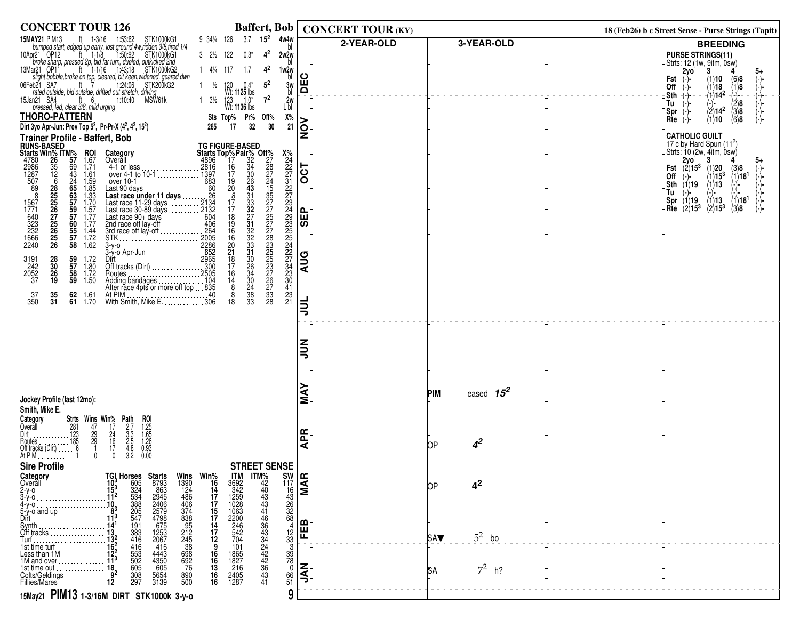| <b>CONCERT TOUR 126</b>                                                                                                                                                                                                                                     |                                                                                                                                                                                                                                                                                                        |                                     | Baffert, Bob   CONCERT TOUR (KY) |                        | 18 (Feb26) b c Street Sense - Purse Strings (Tapit)                                                    |
|-------------------------------------------------------------------------------------------------------------------------------------------------------------------------------------------------------------------------------------------------------------|--------------------------------------------------------------------------------------------------------------------------------------------------------------------------------------------------------------------------------------------------------------------------------------------------------|-------------------------------------|----------------------------------|------------------------|--------------------------------------------------------------------------------------------------------|
| STK1000kG1<br><b>15MAY21 PIM13</b><br>ft $1-3/16$<br>1:53:62                                                                                                                                                                                                | 3.7 $15^2$ 4w4w<br>9 34¼ 126                                                                                                                                                                                                                                                                           |                                     | 2-YEAR-OLD                       | 3-YEAR-OLD             | <b>BREEDING</b>                                                                                        |
| <b>ISIMATE:</b> Finite and the USBN 1977-100 Class to the USBN 10000431<br><b>bumped start, edged up early, lost ground 4w, ridden</b> 308, tired 1/4<br>10Apr21 OP12 ti 1-1/8 1:50:92 STK1000kG1<br>broke sharp, pressed 2p, bid far turn, d               | $3 \quad 2\frac{1}{2} \quad 122$<br>$0.3*$<br>$4^2$<br>2w2w                                                                                                                                                                                                                                            |                                     |                                  |                        | <b>PURSE STRINGS(11)</b>                                                                               |
|                                                                                                                                                                                                                                                             | $14\frac{1}{4}17$ 1.7<br>$4^2$<br>1w2w                                                                                                                                                                                                                                                                 |                                     |                                  |                        | Strts: 12 (1w, 9itm, 0sw)<br>2y0<br>3<br>4<br>5+                                                       |
|                                                                                                                                                                                                                                                             | b<br>120<br>$5^2$<br>3w<br>$\frac{1}{2}$<br>$0.4^*$                                                                                                                                                                                                                                                    | ပ<br>Ŵ                              |                                  |                        | $(1)10$ $(6)8$<br>Fst<br>$(-)$                                                                         |
|                                                                                                                                                                                                                                                             | bl<br>Wt: 1125 lbs                                                                                                                                                                                                                                                                                     | $\mathbf{\Omega}$                   |                                  |                        | $(1)18$ $(1)8$<br>Off<br>$-(1)14^2$<br>-(-)-<br>.Sth                                                   |
| 15Jan21 SA4<br>an21 SA4 ft 6<br>pressed, led, clear 3/8, mild urging<br>1:10:40 MSW61k                                                                                                                                                                      | $7^2$<br>1 $3\frac{1}{2}$ 123 $1.0^*$<br>Wt: <b>1136</b> lbs<br>2w<br>L bl                                                                                                                                                                                                                             |                                     |                                  |                        | (2)8<br>Tu<br>(-)-                                                                                     |
| <b>THORO-PATTERN</b>                                                                                                                                                                                                                                        | Sts Top% Pr% Off%<br>Х%                                                                                                                                                                                                                                                                                |                                     |                                  |                        | $\langle 2 \rangle$ 14 <sup>2</sup> $\langle 3 \rangle$ 8<br>$Spr$ (-)-<br>(6)8<br>(1)10<br>$Rte$ (-)- |
| Dirt 3yo Apr-Jun: Prev Top 5 <sup>2</sup> , Pr-Pr-X (4 <sup>2</sup> , 4 <sup>2</sup> , 15 <sup>2</sup> )                                                                                                                                                    | 17<br>265<br>32<br>30<br>21                                                                                                                                                                                                                                                                            | $\overline{\widetilde{\mathsf{S}}}$ |                                  |                        |                                                                                                        |
| <b>Trainer Profile - Baffert, Bob</b><br>RUNS-BASED<br>Starts Win <sup>%</sup> ITM% ROI Category<br>4780 26 57 1.67 Overall<br>1287 12 43 1.61 over 10-16<br>507 6 24 1.61 over 10-16<br>89 28 65 1.85 Last 90 decription<br>89 28 65 1.85 Last 90 decript  |                                                                                                                                                                                                                                                                                                        |                                     |                                  |                        | <b>CATHOLIC GUILT</b><br>$-17$ c by Hard Spun $(11^2)$                                                 |
|                                                                                                                                                                                                                                                             | <b>TG FIGURE-BASED</b>                                                                                                                                                                                                                                                                                 |                                     |                                  |                        | Strts: 10 (2w, 4itm, 0sw).<br>2 <b>2 yo</b> 3                                                          |
|                                                                                                                                                                                                                                                             |                                                                                                                                                                                                                                                                                                        |                                     |                                  |                        | $2y0$ $\sim$<br>5+<br><b>Fst</b> $\overline{(2)}$ 15 <sup>3</sup><br>(3)8                              |
|                                                                                                                                                                                                                                                             |                                                                                                                                                                                                                                                                                                        | $\overline{OCT}$                    |                                  |                        | $\binom{1}{1}$ 15 <sup>3</sup><br>$(1)18$ <sup>1</sup><br>$(-)$<br>Off                                 |
| 69<br>43<br>24<br><b>65<br/>55<br/>57<br/>57</b><br>57<br>50<br>1.61<br>1.59<br>1.85<br>1.33<br>1.77<br>1.77<br>1.77<br>1.77                                                                                                                                |                                                                                                                                                                                                                                                                                                        |                                     |                                  |                        | _Sth -(1)19⊦<br>$-(1)$ 13<br>$(-)$ -<br>Tu<br>(-)-<br>-)-                                              |
|                                                                                                                                                                                                                                                             |                                                                                                                                                                                                                                                                                                        |                                     |                                  |                        | $\binom{1}{2}$ 13<br>(2)15 <sup>3</sup><br>$\binom{1}{3}$ 18 <sup>1</sup><br>Br(1)19                   |
|                                                                                                                                                                                                                                                             |                                                                                                                                                                                                                                                                                                        | 193                                 |                                  |                        | Rte $\langle 2 \rangle 15^3$                                                                           |
|                                                                                                                                                                                                                                                             |                                                                                                                                                                                                                                                                                                        |                                     |                                  |                        |                                                                                                        |
| 282526272526226<br>1567<br>1771<br>640<br>323<br>232<br>1666<br>2240<br>55<br>57<br>58<br>$\begin{array}{c} 1.44 \\ 1.72 \\ 1.62 \end{array}$                                                                                                               |                                                                                                                                                                                                                                                                                                        |                                     |                                  |                        |                                                                                                        |
| TG FIG<br>Category<br>Verall<br>4996<br>441 or less<br>over 41 to 10-1<br>over 41 to 10-1<br>over 41 to 10-1<br>cover 41 to 10-1<br>Last race under 11 days<br>Last race 30-89 days<br>Last race 30-89 days<br>Last race 90+ days<br>Last race 90+ days<br> | TG FIGURE-BASED<br>Starts Top% Pair% Off%<br>∴4896 17<br>∴1397 17 30<br>∴1397 17 30<br>∴1397 17 30<br>2214 220<br>22086 22<br>22132 17<br>22064 18<br>22132 227257<br>∴2004 18<br>22086 20<br>∴2005 16<br>22086 21<br>2205 16<br>22086 21<br>2205 16<br>22086 21<br><br>X%2227322734932522227433042321 |                                     |                                  |                        |                                                                                                        |
| $\frac{59}{57}$<br>$1.72$<br>$1.80$                                                                                                                                                                                                                         |                                                                                                                                                                                                                                                                                                        | <b>AUG</b>                          |                                  |                        |                                                                                                        |
| 3191<br>242<br>2052<br>37<br>28<br>30<br>26<br>19<br>58<br>1.72                                                                                                                                                                                             |                                                                                                                                                                                                                                                                                                        |                                     |                                  |                        |                                                                                                        |
| 59<br>1.50                                                                                                                                                                                                                                                  |                                                                                                                                                                                                                                                                                                        |                                     |                                  |                        |                                                                                                        |
| $\frac{37}{350}$<br>$\frac{35}{31}$<br>62<br>1.61<br>1.70<br>61                                                                                                                                                                                             |                                                                                                                                                                                                                                                                                                        |                                     |                                  |                        |                                                                                                        |
|                                                                                                                                                                                                                                                             |                                                                                                                                                                                                                                                                                                        | ョ                                   |                                  |                        |                                                                                                        |
|                                                                                                                                                                                                                                                             |                                                                                                                                                                                                                                                                                                        |                                     |                                  |                        |                                                                                                        |
|                                                                                                                                                                                                                                                             |                                                                                                                                                                                                                                                                                                        |                                     |                                  |                        |                                                                                                        |
|                                                                                                                                                                                                                                                             |                                                                                                                                                                                                                                                                                                        | ミラ                                  |                                  |                        |                                                                                                        |
|                                                                                                                                                                                                                                                             |                                                                                                                                                                                                                                                                                                        |                                     |                                  |                        |                                                                                                        |
|                                                                                                                                                                                                                                                             |                                                                                                                                                                                                                                                                                                        |                                     |                                  |                        |                                                                                                        |
|                                                                                                                                                                                                                                                             |                                                                                                                                                                                                                                                                                                        |                                     |                                  |                        |                                                                                                        |
| Jockey Profile (last 12mo):                                                                                                                                                                                                                                 |                                                                                                                                                                                                                                                                                                        | Ń                                   |                                  | eased $15^2$<br>PIM    |                                                                                                        |
| Smith, Mike E.                                                                                                                                                                                                                                              |                                                                                                                                                                                                                                                                                                        |                                     |                                  |                        |                                                                                                        |
| Category<br><b>Strts Wins Win% Path</b><br>1.281 47 17 2.7<br>1.123 29 24 3.3<br>1.185 29 16 2.5<br>1.185 29 16 2.5<br>1.17 4.8<br>1.0 0 3.2<br>ROI<br>1.25<br>1.65<br>1.26<br>0.93<br>0.00                                                                 |                                                                                                                                                                                                                                                                                                        |                                     |                                  |                        |                                                                                                        |
|                                                                                                                                                                                                                                                             |                                                                                                                                                                                                                                                                                                        | <b>APR</b>                          |                                  |                        |                                                                                                        |
| Overall<br>Dirt<br>Dirt<br>Dirt<br>Routes<br>Curriculars (Dirt)<br>Off tracks (Dirt)                                                                                                                                                                        |                                                                                                                                                                                                                                                                                                        |                                     |                                  | 4 <sup>2</sup><br>ĐР   |                                                                                                        |
| At PIM                                                                                                                                                                                                                                                      |                                                                                                                                                                                                                                                                                                        |                                     |                                  |                        |                                                                                                        |
| <b>Sire Profile</b><br>Category                                                                                                                                                                                                                             | <b>STREET SENSE</b>                                                                                                                                                                                                                                                                                    |                                     |                                  |                        |                                                                                                        |
| Overall                                                                                                                                                                                                                                                     |                                                                                                                                                                                                                                                                                                        |                                     |                                  | 4 <sup>2</sup><br>ОP   |                                                                                                        |
| $2-y-0$<br>3-y-0                                                                                                                                                                                                                                            |                                                                                                                                                                                                                                                                                                        |                                     |                                  |                        |                                                                                                        |
| 4-y-o                                                                                                                                                                                                                                                       | $rac{50}{2}$<br>$rac{30}{2}$<br>$rac{30}{2}$<br>$rac{30}{2}$<br>$rac{30}{2}$<br>$rac{30}{2}$<br>$rac{30}{2}$<br>$rac{30}{2}$<br>$rac{30}{2}$<br>$rac{30}{2}$<br>$rac{30}{2}$                                                                                                                           |                                     |                                  |                        |                                                                                                        |
| 5-y-o and up<br>Dirt                                                                                                                                                                                                                                        |                                                                                                                                                                                                                                                                                                        | മ                                   |                                  |                        |                                                                                                        |
| Synth<br>Off tracks                                                                                                                                                                                                                                         |                                                                                                                                                                                                                                                                                                        | 띧                                   |                                  | $5^2$ bo<br><b>SAV</b> |                                                                                                        |
| $\tilde{T}$ urf $\ldots, \ldots, \ldots$<br>1st time turf                                                                                                                                                                                                   |                                                                                                                                                                                                                                                                                                        |                                     |                                  |                        |                                                                                                        |
| Less than 1M<br>4443<br>4350<br>605<br>5654<br>3139<br>1M and over                                                                                                                                                                                          | $\frac{12}{33}$<br>$\frac{39}{78}$<br>0<br>$\frac{16}{16}$<br>$\frac{16}{16}$<br>$\frac{16}{16}$                                                                                                                                                                                                       |                                     |                                  |                        |                                                                                                        |
| 1st time out $\ldots$<br>Colts/Geldings                                                                                                                                                                                                                     |                                                                                                                                                                                                                                                                                                        | N<br>S                              |                                  | $7^2$ h?<br>ßА         |                                                                                                        |
| $\frac{308}{297}$<br>890<br>500<br>Fillies/Mares                                                                                                                                                                                                            | $\frac{66}{51}$                                                                                                                                                                                                                                                                                        |                                     |                                  |                        |                                                                                                        |
| 15May21 PIM13 1-3/16M DIRT STK1000k 3-y-0                                                                                                                                                                                                                   | 9                                                                                                                                                                                                                                                                                                      |                                     |                                  |                        |                                                                                                        |